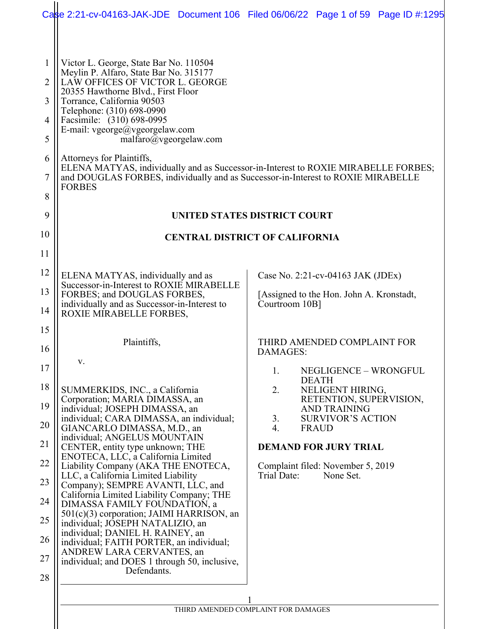|                                                                                                    |                                                                                                                                                                                                                                                                                                                                                                                                                                                                                                                                                                                                                                                                                                                                                                                                                                                                                                                                                                       | Case 2:21-cv-04163-JAK-JDE Document 106 Filed 06/06/22 Page 1 of 59 Page ID #:1295                                                                                                                                                                                                                                                                                                                                             |
|----------------------------------------------------------------------------------------------------|-----------------------------------------------------------------------------------------------------------------------------------------------------------------------------------------------------------------------------------------------------------------------------------------------------------------------------------------------------------------------------------------------------------------------------------------------------------------------------------------------------------------------------------------------------------------------------------------------------------------------------------------------------------------------------------------------------------------------------------------------------------------------------------------------------------------------------------------------------------------------------------------------------------------------------------------------------------------------|--------------------------------------------------------------------------------------------------------------------------------------------------------------------------------------------------------------------------------------------------------------------------------------------------------------------------------------------------------------------------------------------------------------------------------|
| 1<br>$\overline{2}$<br>3<br>$\overline{4}$<br>5<br>6<br>7<br>8<br>9                                | Victor L. George, State Bar No. 110504<br>Meylin P. Alfaro, State Bar No. 315177<br>LAW OFFICES OF VICTOR L. GEORGE<br>20355 Hawthorne Blvd., First Floor<br>Torrance, California 90503<br>Telephone: (310) 698-0990<br>Facsimile: (310) 698-0995<br>E-mail: vgeorge@vgeorgelaw.com<br>malfaro@vgeorgelaw.com<br>Attorneys for Plaintiffs,<br>and DOUGLAS FORBES, individually and as Successor-in-Interest to ROXIE MIRABELLE<br><b>FORBES</b>                                                                                                                                                                                                                                                                                                                                                                                                                                                                                                                       | ELENA MATYAS, individually and as Successor-in-Interest to ROXIE MIRABELLE FORBES;<br>UNITED STATES DISTRICT COURT                                                                                                                                                                                                                                                                                                             |
| 10<br>11                                                                                           |                                                                                                                                                                                                                                                                                                                                                                                                                                                                                                                                                                                                                                                                                                                                                                                                                                                                                                                                                                       | <b>CENTRAL DISTRICT OF CALIFORNIA</b>                                                                                                                                                                                                                                                                                                                                                                                          |
| 12<br>13<br>14<br>15<br>16<br>17<br>18<br>19<br>20<br>21<br>22<br>23<br>24<br>25<br>26<br>27<br>28 | ELENA MATYAS, individually and as<br>Successor-in-Interest to ROXIE MIRABELLE<br>FORBES; and DOUGLAS FORBES,<br>individually and as Successor-in-Interest to<br>ROXIE MIRABELLE FORBES,<br>Plaintiffs,<br>v.<br>SUMMERKIDS, INC., a California<br>Corporation; MARIA DIMASSA, an<br>individual; JOSEPH DIMASSA, an<br>individual; CARA DIMASSA, an individual;<br>GIANCARLO DIMASSA, M.D., an<br>individual; ANGELUS MOUNTAIN<br>CENTER, entity type unknown; THE<br>ENOTECA, LLC, a California Limited<br>Liability Company (AKA THE ENOTECA,<br>LLC, a California Limited Liability<br>Company); SEMPRE AVANTI, LLC, and<br>California Limited Liability Company; THE<br>DIMASSA FAMILY FOUNDATION, a<br>501(c)(3) corporation; JAIMI HARRISON, an<br>individual; JOSEPH NATALIZIO, an<br>individual; DANIEL H. RAINEY, an<br>individual; FAITH PORTER, an individual;<br>ANDREW LARA CERVANTES, an<br>individual; and DOES 1 through 50, inclusive,<br>Defendants. | Case No. 2:21-cv-04163 JAK (JDEx)<br>[Assigned to the Hon. John A. Kronstadt,<br>Courtroom 10B]<br>THIRD AMENDED COMPLAINT FOR<br>DAMAGES:<br>1.<br>NEGLIGENCE - WRONGFUL<br><b>DEATH</b><br>2.<br>NELIGENT HIRING,<br>RETENTION, SUPERVISION,<br><b>AND TRAINING</b><br><b>SURVIVOR'S ACTION</b><br>3.<br>4.<br><b>FRAUD</b><br><b>DEMAND FOR JURY TRIAL</b><br>Complaint filed: November 5, 2019<br>Trial Date:<br>None Set. |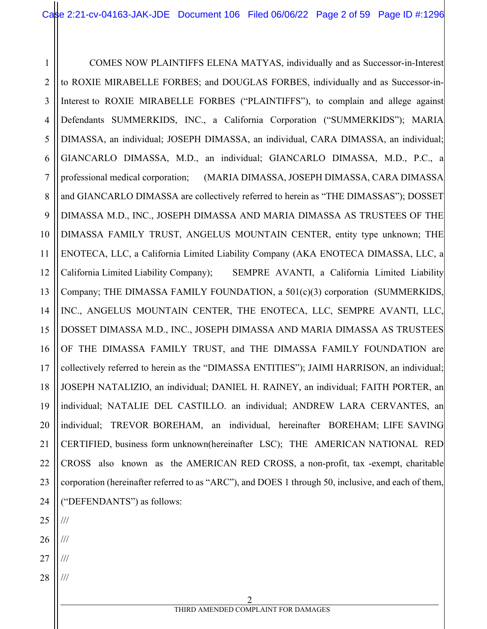1 2 3 4 5 6 7 8 9 10 11 12 13 14 15 16 17 18 19 20 21 22 23 24 25 COMES NOW PLAINTIFFS ELENA MATYAS, individually and as Successor-in-Interest to ROXIE MIRABELLE FORBES; and DOUGLAS FORBES, individually and as Successor-in-Interest to ROXIE MIRABELLE FORBES ("PLAINTIFFS"), to complain and allege against Defendants SUMMERKIDS, INC., a California Corporation ("SUMMERKIDS"); MARIA DIMASSA, an individual; JOSEPH DIMASSA, an individual, CARA DIMASSA, an individual; GIANCARLO DIMASSA, M.D., an individual; GIANCARLO DIMASSA, M.D., P.C., a professional medical corporation; (MARIA DIMASSA, JOSEPH DIMASSA, CARA DIMASSA and GIANCARLO DIMASSA are collectively referred to herein as "THE DIMASSAS"); DOSSET DIMASSA M.D., INC., JOSEPH DIMASSA AND MARIA DIMASSA AS TRUSTEES OF THE DIMASSA FAMILY TRUST, ANGELUS MOUNTAIN CENTER, entity type unknown; THE ENOTECA, LLC, a California Limited Liability Company (AKA ENOTECA DIMASSA, LLC, a California Limited Liability Company); SEMPRE AVANTI, a California Limited Liability Company; THE DIMASSA FAMILY FOUNDATION, a 501(c)(3) corporation (SUMMERKIDS, INC., ANGELUS MOUNTAIN CENTER, THE ENOTECA, LLC, SEMPRE AVANTI, LLC, DOSSET DIMASSA M.D., INC., JOSEPH DIMASSA AND MARIA DIMASSA AS TRUSTEES OF THE DIMASSA FAMILY TRUST, and THE DIMASSA FAMILY FOUNDATION are collectively referred to herein as the "DIMASSA ENTITIES"); JAIMI HARRISON, an individual; JOSEPH NATALIZIO, an individual; DANIEL H. RAINEY, an individual; FAITH PORTER, an individual; NATALIE DEL CASTILLO. an individual; ANDREW LARA CERVANTES, an individual; TREVOR BOREHAM, an individual, hereinafter BOREHAM; LIFE SAVING CERTIFIED, business form unknown(hereinafter LSC); THE AMERICAN NATIONAL RED CROSS also known as the AMERICAN RED CROSS, a non-profit, tax -exempt, charitable corporation (hereinafter referred to as "ARC"), and DOES 1 through 50, inclusive, and each of them, ("DEFENDANTS") as follows: ///

- 26 ///
- 27 ///
- 28 ///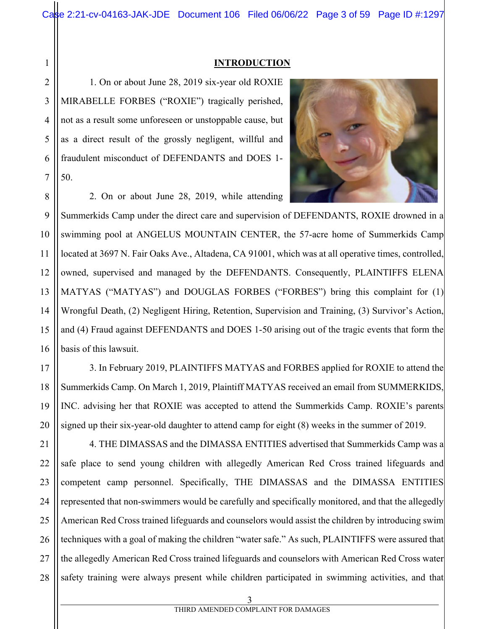#### **INTRODUCTION**

1. On or about June 28, 2019 six-year old ROXIE MIRABELLE FORBES ("ROXIE") tragically perished, not as a result some unforeseen or unstoppable cause, but as a direct result of the grossly negligent, willful and fraudulent misconduct of DEFENDANTS and DOES 1- 50.



2. On or about June 28, 2019, while attending

9 Summerkids Camp under the direct care and supervision of DEFENDANTS, ROXIE drowned in a swimming pool at ANGELUS MOUNTAIN CENTER, the 57-acre home of Summerkids Camp located at 3697 N. Fair Oaks Ave., Altadena, CA 91001, which was at all operative times, controlled, owned, supervised and managed by the DEFENDANTS. Consequently, PLAINTIFFS ELENA MATYAS ("MATYAS") and DOUGLAS FORBES ("FORBES") bring this complaint for (1) Wrongful Death, (2) Negligent Hiring, Retention, Supervision and Training, (3) Survivor's Action, and (4) Fraud against DEFENDANTS and DOES 1-50 arising out of the tragic events that form the basis of this lawsuit.

3. In February 2019, PLAINTIFFS MATYAS and FORBES applied for ROXIE to attend the Summerkids Camp. On March 1, 2019, Plaintiff MATYAS received an email from SUMMERKIDS, INC. advising her that ROXIE was accepted to attend the Summerkids Camp. ROXIE's parents signed up their six-year-old daughter to attend camp for eight (8) weeks in the summer of 2019.

21 22 23 24 25 26 27 28 4. THE DIMASSAS and the DIMASSA ENTITIES advertised that Summerkids Camp was a safe place to send young children with allegedly American Red Cross trained lifeguards and competent camp personnel. Specifically, THE DIMASSAS and the DIMASSA ENTITIES represented that non-swimmers would be carefully and specifically monitored, and that the allegedly American Red Cross trained lifeguards and counselors would assist the children by introducing swim techniques with a goal of making the children "water safe." As such, PLAINTIFFS were assured that the allegedly American Red Cross trained lifeguards and counselors with American Red Cross water safety training were always present while children participated in swimming activities, and that

1

2

3

4

5

6

7

8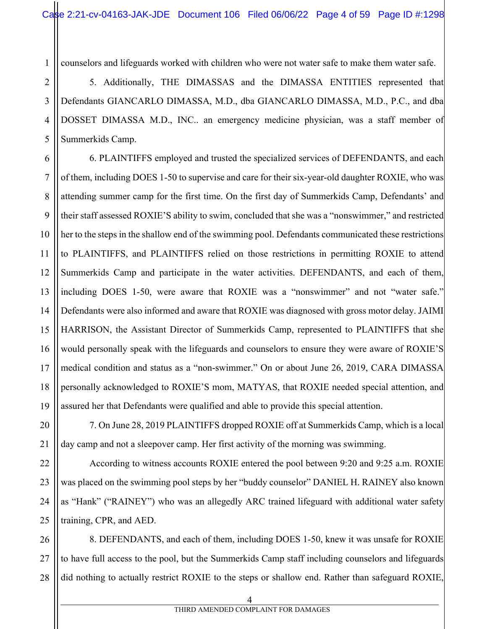counselors and lifeguards worked with children who were not water safe to make them water safe.

5. Additionally, THE DIMASSAS and the DIMASSA ENTITIES represented that Defendants GIANCARLO DIMASSA, M.D., dba GIANCARLO DIMASSA, M.D., P.C., and dba DOSSET DIMASSA M.D., INC.. an emergency medicine physician, was a staff member of Summerkids Camp.

6. PLAINTIFFS employed and trusted the specialized services of DEFENDANTS, and each of them, including DOES 1-50 to supervise and care for their six-year-old daughter ROXIE, who was attending summer camp for the first time. On the first day of Summerkids Camp, Defendants' and their staff assessed ROXIE'S ability to swim, concluded that she was a "nonswimmer," and restricted her to the steps in the shallow end of the swimming pool. Defendants communicated these restrictions to PLAINTIFFS, and PLAINTIFFS relied on those restrictions in permitting ROXIE to attend Summerkids Camp and participate in the water activities. DEFENDANTS, and each of them, including DOES 1-50, were aware that ROXIE was a "nonswimmer" and not "water safe." Defendants were also informed and aware that ROXIE was diagnosed with gross motor delay. JAIMI HARRISON, the Assistant Director of Summerkids Camp, represented to PLAINTIFFS that she would personally speak with the lifeguards and counselors to ensure they were aware of ROXIE'S medical condition and status as a "non-swimmer." On or about June 26, 2019, CARA DIMASSA personally acknowledged to ROXIE'S mom, MATYAS, that ROXIE needed special attention, and assured her that Defendants were qualified and able to provide this special attention.

7. On June 28, 2019 PLAINTIFFS dropped ROXIE off at Summerkids Camp, which is a local day camp and not a sleepover camp. Her first activity of the morning was swimming.

According to witness accounts ROXIE entered the pool between 9:20 and 9:25 a.m. ROXIE was placed on the swimming pool steps by her "buddy counselor" DANIEL H. RAINEY also known as "Hank" ("RAINEY") who was an allegedly ARC trained lifeguard with additional water safety training, CPR, and AED.

28 8. DEFENDANTS, and each of them, including DOES 1-50, knew it was unsafe for ROXIE to have full access to the pool, but the Summerkids Camp staff including counselors and lifeguards did nothing to actually restrict ROXIE to the steps or shallow end. Rather than safeguard ROXIE,

1

2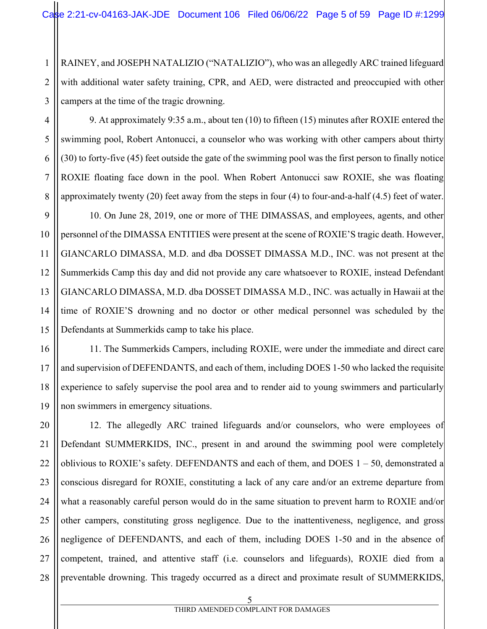1 2 3 RAINEY, and JOSEPH NATALIZIO ("NATALIZIO"), who was an allegedly ARC trained lifeguard with additional water safety training, CPR, and AED, were distracted and preoccupied with other campers at the time of the tragic drowning.

4 6 9. At approximately 9:35 a.m., about ten (10) to fifteen (15) minutes after ROXIE entered the swimming pool, Robert Antonucci, a counselor who was working with other campers about thirty (30) to forty-five (45) feet outside the gate of the swimming pool was the first person to finally notice ROXIE floating face down in the pool. When Robert Antonucci saw ROXIE, she was floating approximately twenty (20) feet away from the steps in four (4) to four-and-a-half (4.5) feet of water.

10. On June 28, 2019, one or more of THE DIMASSAS, and employees, agents, and other personnel of the DIMASSA ENTITIES were present at the scene of ROXIE'S tragic death. However, GIANCARLO DIMASSA, M.D. and dba DOSSET DIMASSA M.D., INC. was not present at the Summerkids Camp this day and did not provide any care whatsoever to ROXIE, instead Defendant GIANCARLO DIMASSA, M.D. dba DOSSET DIMASSA M.D., INC. was actually in Hawaii at the time of ROXIE'S drowning and no doctor or other medical personnel was scheduled by the Defendants at Summerkids camp to take his place.

11. The Summerkids Campers, including ROXIE, were under the immediate and direct care and supervision of DEFENDANTS, and each of them, including DOES 1-50 who lacked the requisite experience to safely supervise the pool area and to render aid to young swimmers and particularly non swimmers in emergency situations.

20 22 23 24 25 26 28 12. The allegedly ARC trained lifeguards and/or counselors, who were employees of Defendant SUMMERKIDS, INC., present in and around the swimming pool were completely oblivious to ROXIE's safety. DEFENDANTS and each of them, and DOES  $1 - 50$ , demonstrated a conscious disregard for ROXIE, constituting a lack of any care and/or an extreme departure from what a reasonably careful person would do in the same situation to prevent harm to ROXIE and/or other campers, constituting gross negligence. Due to the inattentiveness, negligence, and gross negligence of DEFENDANTS, and each of them, including DOES 1-50 and in the absence of competent, trained, and attentive staff (i.e. counselors and lifeguards), ROXIE died from a preventable drowning. This tragedy occurred as a direct and proximate result of SUMMERKIDS,

5

 $\sim$  5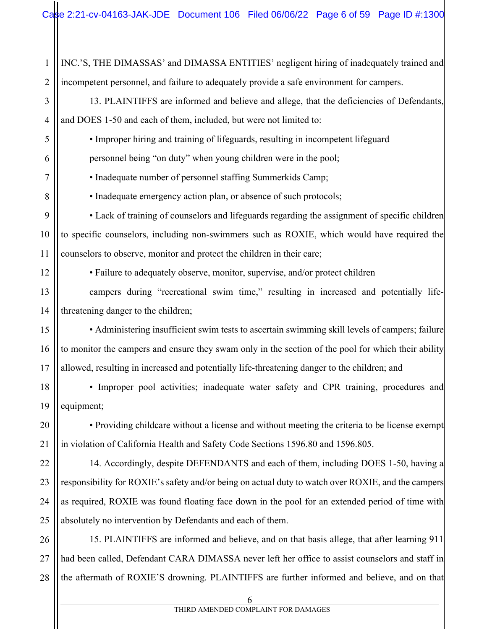1 2 INC.'S, THE DIMASSAS' and DIMASSA ENTITIES' negligent hiring of inadequately trained and incompetent personnel, and failure to adequately provide a safe environment for campers.

3 4 13. PLAINTIFFS are informed and believe and allege, that the deficiencies of Defendants, and DOES 1-50 and each of them, included, but were not limited to:

• Improper hiring and training of lifeguards, resulting in incompetent lifeguard

personnel being "on duty" when young children were in the pool;

• Inadequate number of personnel staffing Summerkids Camp;

• Inadequate emergency action plan, or absence of such protocols;

• Lack of training of counselors and lifeguards regarding the assignment of specific children to specific counselors, including non-swimmers such as ROXIE, which would have required the counselors to observe, monitor and protect the children in their care;

12

5

6

7

8

9

10

11

20

21

• Failure to adequately observe, monitor, supervise, and/or protect children

13 14 campers during "recreational swim time," resulting in increased and potentially lifethreatening danger to the children;

15 16 17 • Administering insufficient swim tests to ascertain swimming skill levels of campers; failure to monitor the campers and ensure they swam only in the section of the pool for which their ability allowed, resulting in increased and potentially life-threatening danger to the children; and

18 19 • Improper pool activities; inadequate water safety and CPR training, procedures and equipment;

• Providing childcare without a license and without meeting the criteria to be license exempt in violation of California Health and Safety Code Sections 1596.80 and 1596.805.

22 23 24 25 14. Accordingly, despite DEFENDANTS and each of them, including DOES 1-50, having a responsibility for ROXIE's safety and/or being on actual duty to watch over ROXIE, and the campers as required, ROXIE was found floating face down in the pool for an extended period of time with absolutely no intervention by Defendants and each of them.

26 27 28 15. PLAINTIFFS are informed and believe, and on that basis allege, that after learning 911 had been called, Defendant CARA DIMASSA never left her office to assist counselors and staff in the aftermath of ROXIE'S drowning. PLAINTIFFS are further informed and believe, and on that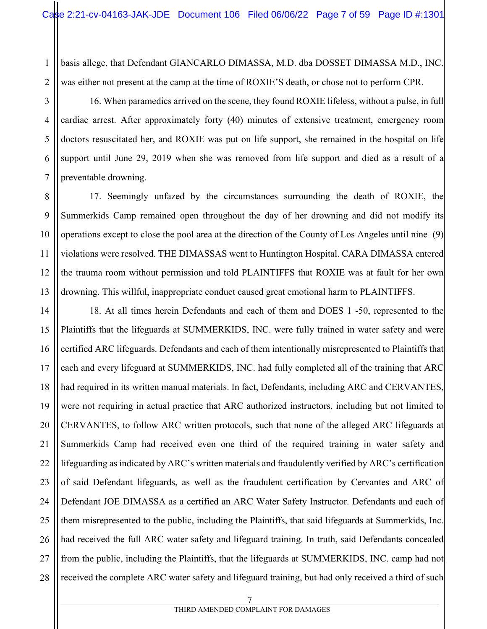1 2 basis allege, that Defendant GIANCARLO DIMASSA, M.D. dba DOSSET DIMASSA M.D., INC. was either not present at the camp at the time of ROXIE'S death, or chose not to perform CPR.

3

4

5

6

7

16. When paramedics arrived on the scene, they found ROXIE lifeless, without a pulse, in full cardiac arrest. After approximately forty (40) minutes of extensive treatment, emergency room doctors resuscitated her, and ROXIE was put on life support, she remained in the hospital on life support until June 29, 2019 when she was removed from life support and died as a result of a preventable drowning.

8 9 10 11 12 13 17. Seemingly unfazed by the circumstances surrounding the death of ROXIE, the Summerkids Camp remained open throughout the day of her drowning and did not modify its operations except to close the pool area at the direction of the County of Los Angeles until nine (9) violations were resolved. THE DIMASSAS went to Huntington Hospital. CARA DIMASSA entered the trauma room without permission and told PLAINTIFFS that ROXIE was at fault for her own drowning. This willful, inappropriate conduct caused great emotional harm to PLAINTIFFS.

14 15 16 17 18 19 20 21 22 23 24 25 26 27 28 18. At all times herein Defendants and each of them and DOES 1 -50, represented to the Plaintiffs that the lifeguards at SUMMERKIDS, INC. were fully trained in water safety and were certified ARC lifeguards. Defendants and each of them intentionally misrepresented to Plaintiffs that each and every lifeguard at SUMMERKIDS, INC. had fully completed all of the training that ARC had required in its written manual materials. In fact, Defendants, including ARC and CERVANTES, were not requiring in actual practice that ARC authorized instructors, including but not limited to CERVANTES, to follow ARC written protocols, such that none of the alleged ARC lifeguards at Summerkids Camp had received even one third of the required training in water safety and lifeguarding as indicated by ARC's written materials and fraudulently verified by ARC's certification of said Defendant lifeguards, as well as the fraudulent certification by Cervantes and ARC of Defendant JOE DIMASSA as a certified an ARC Water Safety Instructor. Defendants and each of them misrepresented to the public, including the Plaintiffs, that said lifeguards at Summerkids, Inc. had received the full ARC water safety and lifeguard training. In truth, said Defendants concealed from the public, including the Plaintiffs, that the lifeguards at SUMMERKIDS, INC. camp had not received the complete ARC water safety and lifeguard training, but had only received a third of such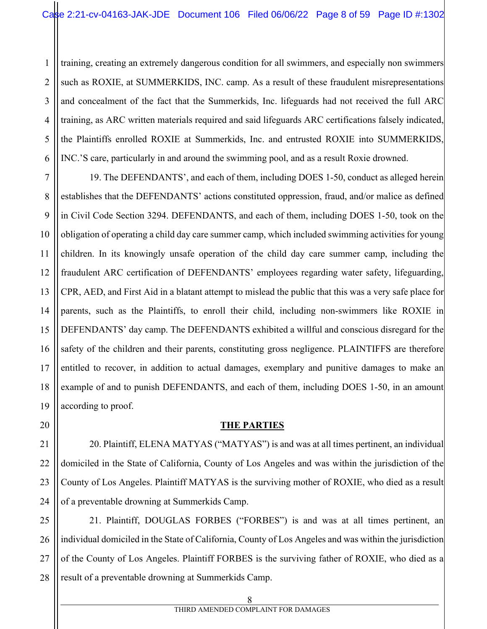1 2 3 4 training, creating an extremely dangerous condition for all swimmers, and especially non swimmers such as ROXIE, at SUMMERKIDS, INC. camp. As a result of these fraudulent misrepresentations and concealment of the fact that the Summerkids, Inc. lifeguards had not received the full ARC training, as ARC written materials required and said lifeguards ARC certifications falsely indicated, the Plaintiffs enrolled ROXIE at Summerkids, Inc. and entrusted ROXIE into SUMMERKIDS, INC.'S care, particularly in and around the swimming pool, and as a result Roxie drowned.

19. The DEFENDANTS', and each of them, including DOES 1-50, conduct as alleged herein establishes that the DEFENDANTS' actions constituted oppression, fraud, and/or malice as defined in Civil Code Section 3294. DEFENDANTS, and each of them, including DOES 1-50, took on the obligation of operating a child day care summer camp, which included swimming activities for young children. In its knowingly unsafe operation of the child day care summer camp, including the fraudulent ARC certification of DEFENDANTS' employees regarding water safety, lifeguarding, CPR, AED, and First Aid in a blatant attempt to mislead the public that this was a very safe place for parents, such as the Plaintiffs, to enroll their child, including non-swimmers like ROXIE in DEFENDANTS' day camp. The DEFENDANTS exhibited a willful and conscious disregard for the safety of the children and their parents, constituting gross negligence. PLAINTIFFS are therefore entitled to recover, in addition to actual damages, exemplary and punitive damages to make an example of and to punish DEFENDANTS, and each of them, including DOES 1-50, in an amount according to proof.

#### **THE PARTIES**

20. Plaintiff, ELENA MATYAS ("MATYAS") is and was at all times pertinent, an individual domiciled in the State of California, County of Los Angeles and was within the jurisdiction of the County of Los Angeles. Plaintiff MATYAS is the surviving mother of ROXIE, who died as a result of a preventable drowning at Summerkids Camp.

28 21. Plaintiff, DOUGLAS FORBES ("FORBES") is and was at all times pertinent, an individual domiciled in the State of California, County of Los Angeles and was within the jurisdiction of the County of Los Angeles. Plaintiff FORBES is the surviving father of ROXIE, who died as a result of a preventable drowning at Summerkids Camp.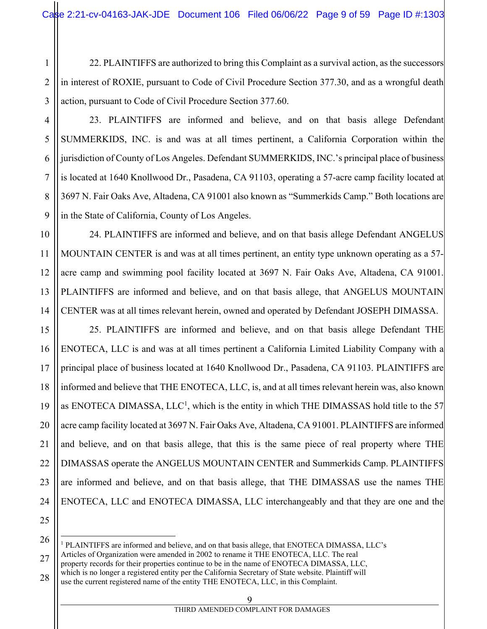1 2 3 22. PLAINTIFFS are authorized to bring this Complaint as a survival action, as the successors in interest of ROXIE, pursuant to Code of Civil Procedure Section 377.30, and as a wrongful death action, pursuant to Code of Civil Procedure Section 377.60.

4

5

6

7

8

9

10

11

12

13

14

23. PLAINTIFFS are informed and believe, and on that basis allege Defendant SUMMERKIDS, INC. is and was at all times pertinent, a California Corporation within the jurisdiction of County of Los Angeles. Defendant SUMMERKIDS, INC.'s principal place of business is located at 1640 Knollwood Dr., Pasadena, CA 91103, operating a 57-acre camp facility located at 3697 N. Fair Oaks Ave, Altadena, CA 91001 also known as "Summerkids Camp." Both locations are in the State of California, County of Los Angeles.

24. PLAINTIFFS are informed and believe, and on that basis allege Defendant ANGELUS MOUNTAIN CENTER is and was at all times pertinent, an entity type unknown operating as a 57 acre camp and swimming pool facility located at 3697 N. Fair Oaks Ave, Altadena, CA 91001. PLAINTIFFS are informed and believe, and on that basis allege, that ANGELUS MOUNTAIN CENTER was at all times relevant herein, owned and operated by Defendant JOSEPH DIMASSA.

15 16 17 18 19 20 21 22 23 24 25 25. PLAINTIFFS are informed and believe, and on that basis allege Defendant THE ENOTECA, LLC is and was at all times pertinent a California Limited Liability Company with a principal place of business located at 1640 Knollwood Dr., Pasadena, CA 91103. PLAINTIFFS are informed and believe that THE ENOTECA, LLC, is, and at all times relevant herein was, also known as ENOTECA DIMASSA,  $LLC<sup>1</sup>$ , which is the entity in which THE DIMASSAS hold title to the 57 acre camp facility located at 3697 N. Fair Oaks Ave, Altadena, CA 91001. PLAINTIFFS are informed and believe, and on that basis allege, that this is the same piece of real property where THE DIMASSAS operate the ANGELUS MOUNTAIN CENTER and Summerkids Camp. PLAINTIFFS are informed and believe, and on that basis allege, that THE DIMASSAS use the names THE ENOTECA, LLC and ENOTECA DIMASSA, LLC interchangeably and that they are one and the

26 <sup>1</sup> PLAINTIFFS are informed and believe, and on that basis allege, that ENOTECA DIMASSA, LLC's Articles of Organization were amended in 2002 to rename it THE ENOTECA, LLC. The real

27 28 property records for their properties continue to be in the name of ENOTECA DIMASSA, LLC, which is no longer a registered entity per the California Secretary of State website. Plaintiff will use the current registered name of the entity THE ENOTECA, LLC, in this Complaint.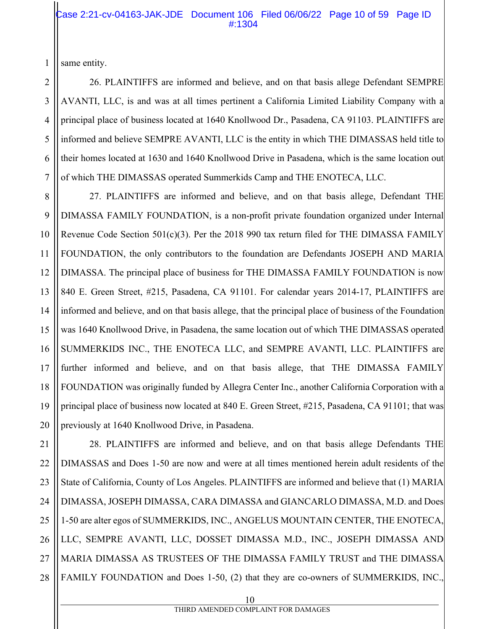#### Case 2:21-cv-04163-JAK-JDE Document 106 Filed 06/06/22 Page 10 of 59 Page ID #:1304

same entity.

1

26. PLAINTIFFS are informed and believe, and on that basis allege Defendant SEMPRE AVANTI, LLC, is and was at all times pertinent a California Limited Liability Company with a principal place of business located at 1640 Knollwood Dr., Pasadena, CA 91103. PLAINTIFFS are informed and believe SEMPRE AVANTI, LLC is the entity in which THE DIMASSAS held title to their homes located at 1630 and 1640 Knollwood Drive in Pasadena, which is the same location out of which THE DIMASSAS operated Summerkids Camp and THE ENOTECA, LLC.

27. PLAINTIFFS are informed and believe, and on that basis allege, Defendant THE DIMASSA FAMILY FOUNDATION, is a non-profit private foundation organized under Internal Revenue Code Section  $501(c)(3)$ . Per the 2018 990 tax return filed for THE DIMASSA FAMILY FOUNDATION, the only contributors to the foundation are Defendants JOSEPH AND MARIA DIMASSA. The principal place of business for THE DIMASSA FAMILY FOUNDATION is now 840 E. Green Street, #215, Pasadena, CA 91101. For calendar years 2014-17, PLAINTIFFS are informed and believe, and on that basis allege, that the principal place of business of the Foundation was 1640 Knollwood Drive, in Pasadena, the same location out of which THE DIMASSAS operated SUMMERKIDS INC., THE ENOTECA LLC, and SEMPRE AVANTI, LLC. PLAINTIFFS are further informed and believe, and on that basis allege, that THE DIMASSA FAMILY FOUNDATION was originally funded by Allegra Center Inc., another California Corporation with a principal place of business now located at 840 E. Green Street, #215, Pasadena, CA 91101; that was previously at 1640 Knollwood Drive, in Pasadena.

21 22 23 24 25 26 27 28 28. PLAINTIFFS are informed and believe, and on that basis allege Defendants THE DIMASSAS and Does 1-50 are now and were at all times mentioned herein adult residents of the State of California, County of Los Angeles. PLAINTIFFS are informed and believe that (1) MARIA DIMASSA, JOSEPH DIMASSA, CARA DIMASSA and GIANCARLO DIMASSA, M.D. and Does 1-50 are alter egos of SUMMERKIDS, INC., ANGELUS MOUNTAIN CENTER, THE ENOTECA, LLC, SEMPRE AVANTI, LLC, DOSSET DIMASSA M.D., INC., JOSEPH DIMASSA AND MARIA DIMASSA AS TRUSTEES OF THE DIMASSA FAMILY TRUST and THE DIMASSA FAMILY FOUNDATION and Does 1-50, (2) that they are co-owners of SUMMERKIDS, INC.,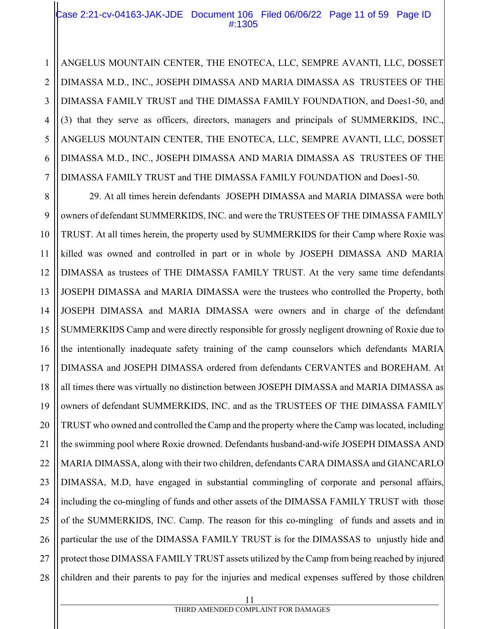#### Case 2:21-cv-04163-JAK-JDE Document 106 Filed 06/06/22 Page 11 of 59 Page ID #:1305

ANGELUS MOUNTAIN CENTER, THE ENOTECA, LLC, SEMPRE AVANTI, LLC, DOSSET DIMASSA M.D., INC., JOSEPH DIMASSA AND MARIA DIMASSA AS TRUSTEES OF THE DIMASSA FAMILY TRUST and THE DIMASSA FAMILY FOUNDATION, and Does1-50, and (3) that they serve as officers, directors, managers and principals of SUMMERKIDS, INC., ANGELUS MOUNTAIN CENTER, THE ENOTECA, LLC, SEMPRE AVANTI, LLC, DOSSET DIMASSA M.D., INC., JOSEPH DIMASSA AND MARIA DIMASSA AS TRUSTEES OF THE DIMASSA FAMILY TRUST and THE DIMASSA FAMILY FOUNDATION and Does1-50.

8 9 28 29. At all times herein defendants JOSEPH DIMASSA and MARIA DIMASSA were both owners of defendant SUMMERKIDS, INC. and were the TRUSTEES OF THE DIMASSA FAMILY TRUST. At all times herein, the property used by SUMMERKIDS for their Camp where Roxie was killed was owned and controlled in part or in whole by JOSEPH DIMASSA AND MARIA DIMASSA as trustees of THE DIMASSA FAMILY TRUST. At the very same time defendants JOSEPH DIMASSA and MARIA DIMASSA were the trustees who controlled the Property, both JOSEPH DIMASSA and MARIA DIMASSA were owners and in charge of the defendant SUMMERKIDS Camp and were directly responsible for grossly negligent drowning of Roxie due to the intentionally inadequate safety training of the camp counselors which defendants MARIA DIMASSA and JOSEPH DIMASSA ordered from defendants CERVANTES and BOREHAM. At all times there was virtually no distinction between JOSEPH DIMASSA and MARIA DIMASSA as owners of defendant SUMMERKIDS, INC. and as the TRUSTEES OF THE DIMASSA FAMILY TRUST who owned and controlled the Camp and the property where the Camp was located, including the swimming pool where Roxie drowned. Defendants husband-and-wife JOSEPH DIMASSA AND MARIA DIMASSA, along with their two children, defendants CARA DIMASSA and GIANCARLO DIMASSA, M.D, have engaged in substantial commingling of corporate and personal affairs, including the co-mingling of funds and other assets of the DIMASSA FAMILY TRUST with those of the SUMMERKIDS, INC. Camp. The reason for this co-mingling of funds and assets and in particular the use of the DIMASSA FAMILY TRUST is for the DIMASSAS to unjustly hide and protect those DIMASSA FAMILY TRUST assets utilized by the Camp from being reached by injured children and their parents to pay for the injuries and medical expenses suffered by those children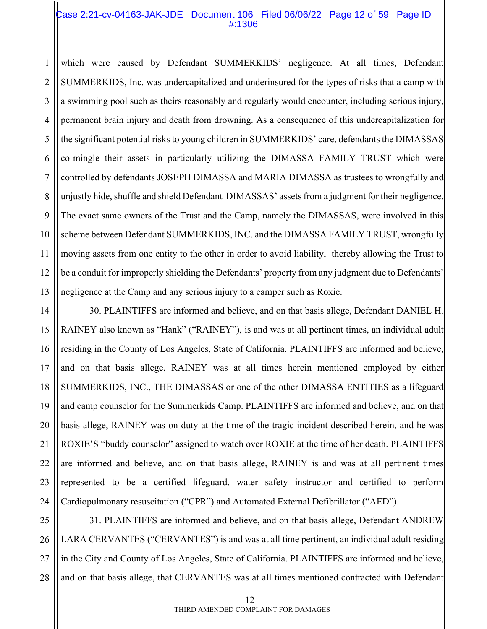#### Case 2:21-cv-04163-JAK-JDE Document 106 Filed 06/06/22 Page 12 of 59 Page ID #:1306

1 2 3 4 5 6 7 8 9 10 11 12 13 which were caused by Defendant SUMMERKIDS' negligence. At all times, Defendant SUMMERKIDS, Inc. was undercapitalized and underinsured for the types of risks that a camp with a swimming pool such as theirs reasonably and regularly would encounter, including serious injury, permanent brain injury and death from drowning. As a consequence of this undercapitalization for the significant potential risks to young children in SUMMERKIDS' care, defendants the DIMASSAS co-mingle their assets in particularly utilizing the DIMASSA FAMILY TRUST which were controlled by defendants JOSEPH DIMASSA and MARIA DIMASSA as trustees to wrongfully and unjustly hide, shuffle and shield Defendant DIMASSAS' assets from a judgment for their negligence. The exact same owners of the Trust and the Camp, namely the DIMASSAS, were involved in this scheme between Defendant SUMMERKIDS, INC. and the DIMASSA FAMILY TRUST, wrongfully moving assets from one entity to the other in order to avoid liability, thereby allowing the Trust to be a conduit for improperly shielding the Defendants' property from any judgment due to Defendants' negligence at the Camp and any serious injury to a camper such as Roxie.

14 15 16 17 18 19 20 21 22 23 24 30. PLAINTIFFS are informed and believe, and on that basis allege, Defendant DANIEL H. RAINEY also known as "Hank" ("RAINEY"), is and was at all pertinent times, an individual adult residing in the County of Los Angeles, State of California. PLAINTIFFS are informed and believe, and on that basis allege, RAINEY was at all times herein mentioned employed by either SUMMERKIDS, INC., THE DIMASSAS or one of the other DIMASSA ENTITIES as a lifeguard and camp counselor for the Summerkids Camp. PLAINTIFFS are informed and believe, and on that basis allege, RAINEY was on duty at the time of the tragic incident described herein, and he was ROXIE'S "buddy counselor" assigned to watch over ROXIE at the time of her death. PLAINTIFFS are informed and believe, and on that basis allege, RAINEY is and was at all pertinent times represented to be a certified lifeguard, water safety instructor and certified to perform Cardiopulmonary resuscitation ("CPR") and Automated External Defibrillator ("AED").

25 26 27 28 31. PLAINTIFFS are informed and believe, and on that basis allege, Defendant ANDREW LARA CERVANTES ("CERVANTES") is and was at all time pertinent, an individual adult residing in the City and County of Los Angeles, State of California. PLAINTIFFS are informed and believe, and on that basis allege, that CERVANTES was at all times mentioned contracted with Defendant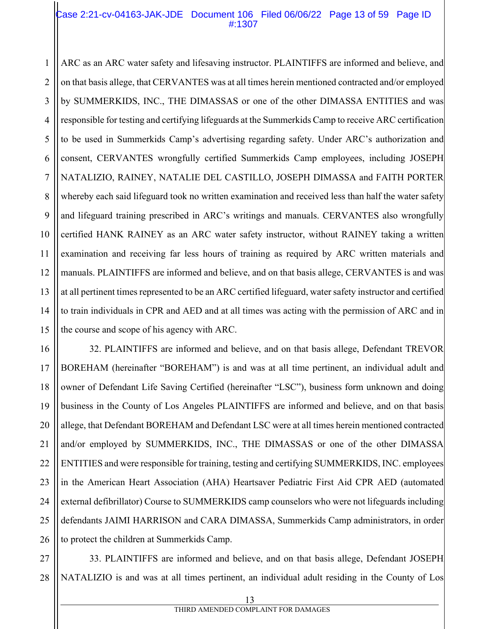#### Case 2:21-cv-04163-JAK-JDE Document 106 Filed 06/06/22 Page 13 of 59 Page ID #:1307

1 ARC as an ARC water safety and lifesaving instructor. PLAINTIFFS are informed and believe, and on that basis allege, that CERVANTES was at all times herein mentioned contracted and/or employed by SUMMERKIDS, INC., THE DIMASSAS or one of the other DIMASSA ENTITIES and was responsible for testing and certifying lifeguards at the Summerkids Camp to receive ARC certification to be used in Summerkids Camp's advertising regarding safety. Under ARC's authorization and consent, CERVANTES wrongfully certified Summerkids Camp employees, including JOSEPH NATALIZIO, RAINEY, NATALIE DEL CASTILLO, JOSEPH DIMASSA and FAITH PORTER whereby each said lifeguard took no written examination and received less than half the water safety and lifeguard training prescribed in ARC's writings and manuals. CERVANTES also wrongfully certified HANK RAINEY as an ARC water safety instructor, without RAINEY taking a written examination and receiving far less hours of training as required by ARC written materials and manuals. PLAINTIFFS are informed and believe, and on that basis allege, CERVANTES is and was at all pertinent times represented to be an ARC certified lifeguard, water safety instructor and certified to train individuals in CPR and AED and at all times was acting with the permission of ARC and in the course and scope of his agency with ARC.

26 32. PLAINTIFFS are informed and believe, and on that basis allege, Defendant TREVOR BOREHAM (hereinafter "BOREHAM") is and was at all time pertinent, an individual adult and owner of Defendant Life Saving Certified (hereinafter "LSC"), business form unknown and doing business in the County of Los Angeles PLAINTIFFS are informed and believe, and on that basis allege, that Defendant BOREHAM and Defendant LSC were at all times herein mentioned contracted and/or employed by SUMMERKIDS, INC., THE DIMASSAS or one of the other DIMASSA ENTITIES and were responsible for training, testing and certifying SUMMERKIDS, INC. employees in the American Heart Association (AHA) Heartsaver Pediatric First Aid CPR AED (automated external defibrillator) Course to SUMMERKIDS camp counselors who were not lifeguards including defendants JAIMI HARRISON and CARA DIMASSA, Summerkids Camp administrators, in order to protect the children at Summerkids Camp.

27 28 33. PLAINTIFFS are informed and believe, and on that basis allege, Defendant JOSEPH NATALIZIO is and was at all times pertinent, an individual adult residing in the County of Los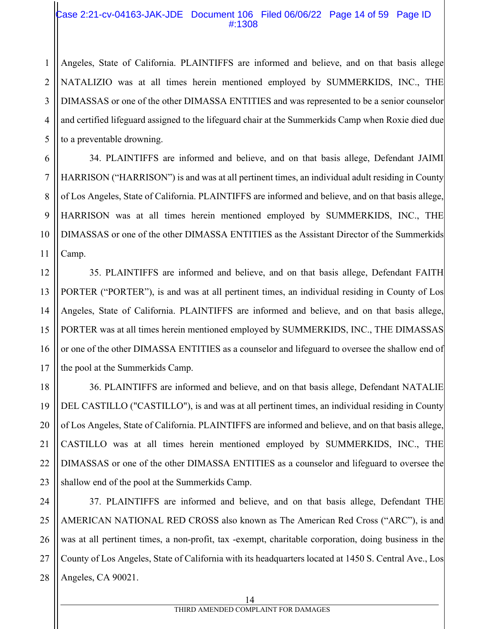#### Case 2:21-cv-04163-JAK-JDE Document 106 Filed 06/06/22 Page 14 of 59 Page ID #:1308

Angeles, State of California. PLAINTIFFS are informed and believe, and on that basis allege NATALIZIO was at all times herein mentioned employed by SUMMERKIDS, INC., THE DIMASSAS or one of the other DIMASSA ENTITIES and was represented to be a senior counselor and certified lifeguard assigned to the lifeguard chair at the Summerkids Camp when Roxie died due to a preventable drowning.

34. PLAINTIFFS are informed and believe, and on that basis allege, Defendant JAIMI HARRISON ("HARRISON") is and was at all pertinent times, an individual adult residing in County of Los Angeles, State of California. PLAINTIFFS are informed and believe, and on that basis allege, HARRISON was at all times herein mentioned employed by SUMMERKIDS, INC., THE DIMASSAS or one of the other DIMASSA ENTITIES as the Assistant Director of the Summerkids Camp.

35. PLAINTIFFS are informed and believe, and on that basis allege, Defendant FAITH PORTER ("PORTER"), is and was at all pertinent times, an individual residing in County of Los Angeles, State of California. PLAINTIFFS are informed and believe, and on that basis allege, PORTER was at all times herein mentioned employed by SUMMERKIDS, INC., THE DIMASSAS or one of the other DIMASSA ENTITIES as a counselor and lifeguard to oversee the shallow end of the pool at the Summerkids Camp.

36. PLAINTIFFS are informed and believe, and on that basis allege, Defendant NATALIE DEL CASTILLO ("CASTILLO"), is and was at all pertinent times, an individual residing in County of Los Angeles, State of California. PLAINTIFFS are informed and believe, and on that basis allege, CASTILLO was at all times herein mentioned employed by SUMMERKIDS, INC., THE DIMASSAS or one of the other DIMASSA ENTITIES as a counselor and lifeguard to oversee the shallow end of the pool at the Summerkids Camp.

37. PLAINTIFFS are informed and believe, and on that basis allege, Defendant THE AMERICAN NATIONAL RED CROSS also known as The American Red Cross ("ARC"), is and was at all pertinent times, a non-profit, tax -exempt, charitable corporation, doing business in the County of Los Angeles, State of California with its headquarters located at 1450 S. Central Ave., Los Angeles, CA 90021.

1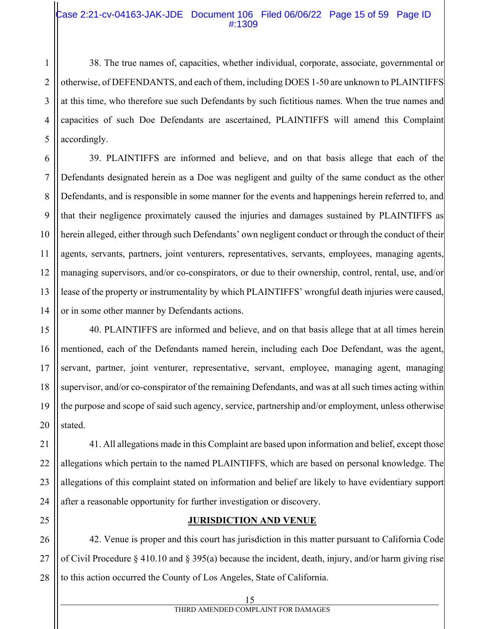#### Case 2:21-cv-04163-JAK-JDE Document 106 Filed 06/06/22 Page 15 of 59 Page ID #:1309

38. The true names of, capacities, whether individual, corporate, associate, governmental or otherwise, of DEFENDANTS, and each of them, including DOES 1-50 are unknown to PLAINTIFFS at this time, who therefore sue such Defendants by such fictitious names. When the true names and capacities of such Doe Defendants are ascertained, PLAINTIFFS will amend this Complaint accordingly.

39. PLAINTIFFS are informed and believe, and on that basis allege that each of the Defendants designated herein as a Doe was negligent and guilty of the same conduct as the other Defendants, and is responsible in some manner for the events and happenings herein referred to, and that their negligence proximately caused the injuries and damages sustained by PLAINTIFFS as herein alleged, either through such Defendants' own negligent conduct or through the conduct of their agents, servants, partners, joint venturers, representatives, servants, employees, managing agents, managing supervisors, and/or co-conspirators, or due to their ownership, control, rental, use, and/or lease of the property or instrumentality by which PLAINTIFFS' wrongful death injuries were caused, or in some other manner by Defendants actions.

40. PLAINTIFFS are informed and believe, and on that basis allege that at all times herein mentioned, each of the Defendants named herein, including each Doe Defendant, was the agent, servant, partner, joint venturer, representative, servant, employee, managing agent, managing supervisor, and/or co-conspirator of the remaining Defendants, and was at all such times acting within the purpose and scope of said such agency, service, partnership and/or employment, unless otherwise stated.

41. All allegations made in this Complaint are based upon information and belief, except those allegations which pertain to the named PLAINTIFFS, which are based on personal knowledge. The allegations of this complaint stated on information and belief are likely to have evidentiary support after a reasonable opportunity for further investigation or discovery.

25

#### **JURISDICTION AND VENUE**

42. Venue is proper and this court has jurisdiction in this matter pursuant to California Code of Civil Procedure § 410.10 and § 395(a) because the incident, death, injury, and/or harm giving rise to this action occurred the County of Los Angeles, State of California.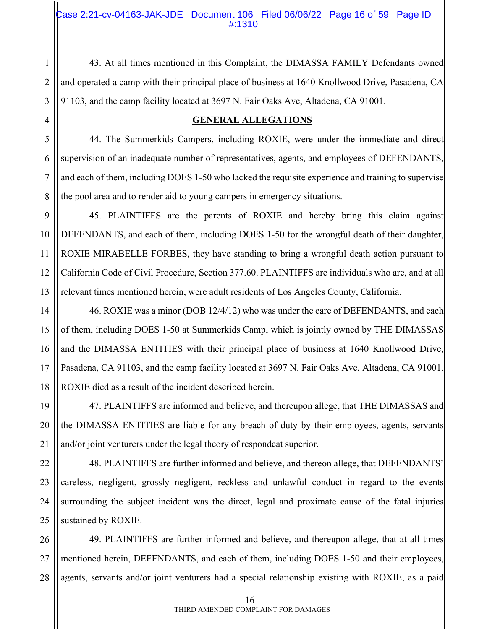#### Case 2:21-cv-04163-JAK-JDE Document 106 Filed 06/06/22 Page 16 of 59 Page ID #:1310

43. At all times mentioned in this Complaint, the DIMASSA FAMILY Defendants owned and operated a camp with their principal place of business at 1640 Knollwood Drive, Pasadena, CA 91103, and the camp facility located at 3697 N. Fair Oaks Ave, Altadena, CA 91001.

#### **GENERAL ALLEGATIONS**

44. The Summerkids Campers, including ROXIE, were under the immediate and direct supervision of an inadequate number of representatives, agents, and employees of DEFENDANTS, and each of them, including DOES 1-50 who lacked the requisite experience and training to supervise the pool area and to render aid to young campers in emergency situations.

45. PLAINTIFFS are the parents of ROXIE and hereby bring this claim against DEFENDANTS, and each of them, including DOES 1-50 for the wrongful death of their daughter, ROXIE MIRABELLE FORBES, they have standing to bring a wrongful death action pursuant to California Code of Civil Procedure, Section 377.60. PLAINTIFFS are individuals who are, and at all relevant times mentioned herein, were adult residents of Los Angeles County, California.

46. ROXIE was a minor (DOB 12/4/12) who was under the care of DEFENDANTS, and each of them, including DOES 1-50 at Summerkids Camp, which is jointly owned by THE DIMASSAS and the DIMASSA ENTITIES with their principal place of business at 1640 Knollwood Drive, Pasadena, CA 91103, and the camp facility located at 3697 N. Fair Oaks Ave, Altadena, CA 91001. ROXIE died as a result of the incident described herein.

47. PLAINTIFFS are informed and believe, and thereupon allege, that THE DIMASSAS and the DIMASSA ENTITIES are liable for any breach of duty by their employees, agents, servants and/or joint venturers under the legal theory of respondeat superior.

48. PLAINTIFFS are further informed and believe, and thereon allege, that DEFENDANTS' careless, negligent, grossly negligent, reckless and unlawful conduct in regard to the events surrounding the subject incident was the direct, legal and proximate cause of the fatal injuries sustained by ROXIE.

49. PLAINTIFFS are further informed and believe, and thereupon allege, that at all times mentioned herein, DEFENDANTS, and each of them, including DOES 1-50 and their employees, agents, servants and/or joint venturers had a special relationship existing with ROXIE, as a paid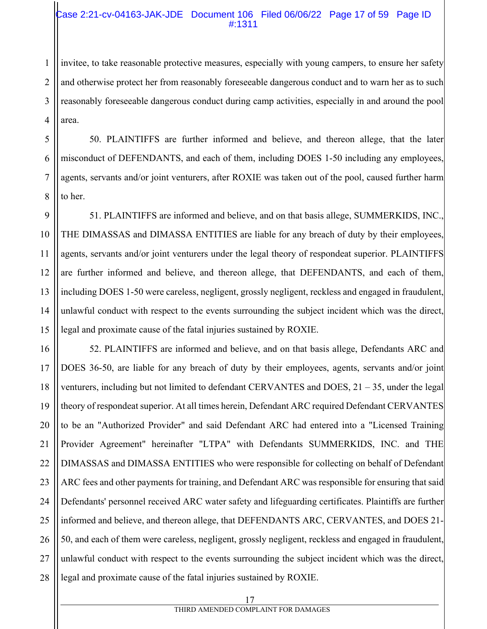#### Case 2:21-cv-04163-JAK-JDE Document 106 Filed 06/06/22 Page 17 of 59 Page ID #:1311

invitee, to take reasonable protective measures, especially with young campers, to ensure her safety and otherwise protect her from reasonably foreseeable dangerous conduct and to warn her as to such reasonably foreseeable dangerous conduct during camp activities, especially in and around the pool area.

50. PLAINTIFFS are further informed and believe, and thereon allege, that the later misconduct of DEFENDANTS, and each of them, including DOES 1-50 including any employees, agents, servants and/or joint venturers, after ROXIE was taken out of the pool, caused further harm to her.

51. PLAINTIFFS are informed and believe, and on that basis allege, SUMMERKIDS, INC., THE DIMASSAS and DIMASSA ENTITIES are liable for any breach of duty by their employees, agents, servants and/or joint venturers under the legal theory of respondeat superior. PLAINTIFFS are further informed and believe, and thereon allege, that DEFENDANTS, and each of them, including DOES 1-50 were careless, negligent, grossly negligent, reckless and engaged in fraudulent, unlawful conduct with respect to the events surrounding the subject incident which was the direct, legal and proximate cause of the fatal injuries sustained by ROXIE.

52. PLAINTIFFS are informed and believe, and on that basis allege, Defendants ARC and DOES 36-50, are liable for any breach of duty by their employees, agents, servants and/or joint venturers, including but not limited to defendant CERVANTES and DOES,  $21 - 35$ , under the legal theory of respondeat superior. At all times herein, Defendant ARC required Defendant CERVANTES to be an "Authorized Provider" and said Defendant ARC had entered into a "Licensed Training Provider Agreement" hereinafter "LTPA" with Defendants SUMMERKIDS, INC. and THE DIMASSAS and DIMASSA ENTITIES who were responsible for collecting on behalf of Defendant ARC fees and other payments for training, and Defendant ARC was responsible for ensuring that said Defendants' personnel received ARC water safety and lifeguarding certificates. Plaintiffs are further informed and believe, and thereon allege, that DEFENDANTS ARC, CERVANTES, and DOES 21- 50, and each of them were careless, negligent, grossly negligent, reckless and engaged in fraudulent, unlawful conduct with respect to the events surrounding the subject incident which was the direct, legal and proximate cause of the fatal injuries sustained by ROXIE.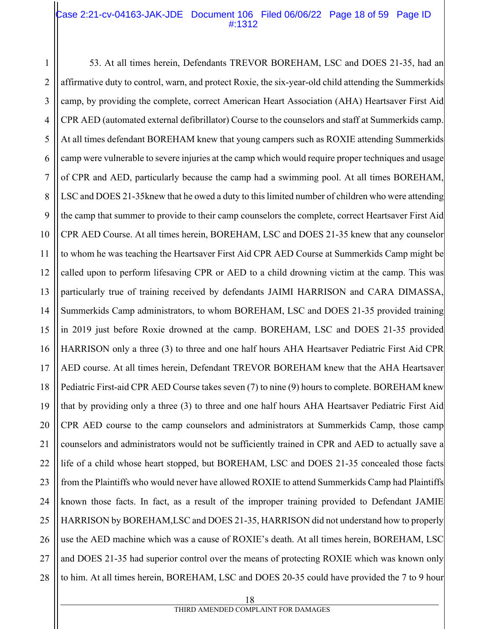#### Case 2:21-cv-04163-JAK-JDE Document 106 Filed 06/06/22 Page 18 of 59 Page ID #:1312

1 2 3 4 5 6 7 8 9 10 11 12 13 14 15 16 17 18 19 20 21 22 23 24 25 26 27 28 53. At all times herein, Defendants TREVOR BOREHAM, LSC and DOES 21-35, had an affirmative duty to control, warn, and protect Roxie, the six-year-old child attending the Summerkids camp, by providing the complete, correct American Heart Association (AHA) Heartsaver First Aid CPR AED (automated external defibrillator) Course to the counselors and staff at Summerkids camp. At all times defendant BOREHAM knew that young campers such as ROXIE attending Summerkids camp were vulnerable to severe injuries at the camp which would require proper techniques and usage of CPR and AED, particularly because the camp had a swimming pool. At all times BOREHAM, LSC and DOES 21-35knew that he owed a duty to this limited number of children who were attending the camp that summer to provide to their camp counselors the complete, correct Heartsaver First Aid CPR AED Course. At all times herein, BOREHAM, LSC and DOES 21-35 knew that any counselor to whom he was teaching the Heartsaver First Aid CPR AED Course at Summerkids Camp might be called upon to perform lifesaving CPR or AED to a child drowning victim at the camp. This was particularly true of training received by defendants JAIMI HARRISON and CARA DIMASSA, Summerkids Camp administrators, to whom BOREHAM, LSC and DOES 21-35 provided training in 2019 just before Roxie drowned at the camp. BOREHAM, LSC and DOES 21-35 provided HARRISON only a three (3) to three and one half hours AHA Heartsaver Pediatric First Aid CPR AED course. At all times herein, Defendant TREVOR BOREHAM knew that the AHA Heartsaver Pediatric First-aid CPR AED Course takes seven (7) to nine (9) hours to complete. BOREHAM knew that by providing only a three (3) to three and one half hours AHA Heartsaver Pediatric First Aid CPR AED course to the camp counselors and administrators at Summerkids Camp, those camp counselors and administrators would not be sufficiently trained in CPR and AED to actually save a life of a child whose heart stopped, but BOREHAM, LSC and DOES 21-35 concealed those facts from the Plaintiffs who would never have allowed ROXIE to attend Summerkids Camp had Plaintiffs known those facts. In fact, as a result of the improper training provided to Defendant JAMIE HARRISON by BOREHAM,LSC and DOES 21-35, HARRISON did not understand how to properly use the AED machine which was a cause of ROXIE's death. At all times herein, BOREHAM, LSC and DOES 21-35 had superior control over the means of protecting ROXIE which was known only to him. At all times herein, BOREHAM, LSC and DOES 20-35 could have provided the 7 to 9 hour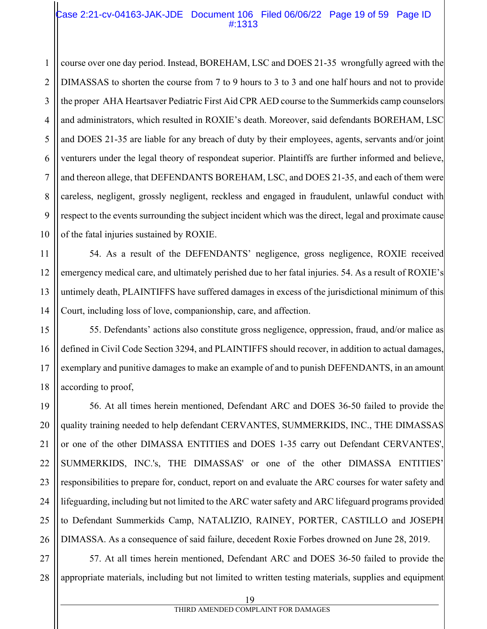#### Case 2:21-cv-04163-JAK-JDE Document 106 Filed 06/06/22 Page 19 of 59 Page ID #:1313

1 2 course over one day period. Instead, BOREHAM, LSC and DOES 21-35 wrongfully agreed with the DIMASSAS to shorten the course from 7 to 9 hours to 3 to 3 and one half hours and not to provide the proper AHA Heartsaver Pediatric First Aid CPR AED course to the Summerkids camp counselors and administrators, which resulted in ROXIE's death. Moreover, said defendants BOREHAM, LSC and DOES 21-35 are liable for any breach of duty by their employees, agents, servants and/or joint venturers under the legal theory of respondeat superior. Plaintiffs are further informed and believe, and thereon allege, that DEFENDANTS BOREHAM, LSC, and DOES 21-35, and each of them were careless, negligent, grossly negligent, reckless and engaged in fraudulent, unlawful conduct with respect to the events surrounding the subject incident which was the direct, legal and proximate cause of the fatal injuries sustained by ROXIE.

54. As a result of the DEFENDANTS' negligence, gross negligence, ROXIE received emergency medical care, and ultimately perished due to her fatal injuries. 54. As a result of ROXIE's untimely death, PLAINTIFFS have suffered damages in excess of the jurisdictional minimum of this Court, including loss of love, companionship, care, and affection.

55. Defendants' actions also constitute gross negligence, oppression, fraud, and/or malice as defined in Civil Code Section 3294, and PLAINTIFFS should recover, in addition to actual damages, exemplary and punitive damages to make an example of and to punish DEFENDANTS, in an amount according to proof,

56. At all times herein mentioned, Defendant ARC and DOES 36-50 failed to provide the quality training needed to help defendant CERVANTES, SUMMERKIDS, INC., THE DIMASSAS or one of the other DIMASSA ENTITIES and DOES 1-35 carry out Defendant CERVANTES', SUMMERKIDS, INC.'s, THE DIMASSAS' or one of the other DIMASSA ENTITIES' responsibilities to prepare for, conduct, report on and evaluate the ARC courses for water safety and lifeguarding, including but not limited to the ARC water safety and ARC lifeguard programs provided to Defendant Summerkids Camp, NATALIZIO, RAINEY, PORTER, CASTILLO and JOSEPH DIMASSA. As a consequence of said failure, decedent Roxie Forbes drowned on June 28, 2019.

27 28 57. At all times herein mentioned, Defendant ARC and DOES 36-50 failed to provide the appropriate materials, including but not limited to written testing materials, supplies and equipment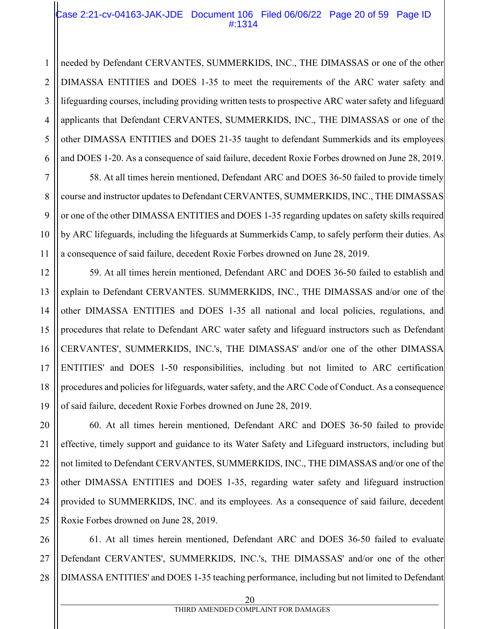#### Case 2:21-cv-04163-JAK-JDE Document 106 Filed 06/06/22 Page 20 of 59 Page ID #:1314

needed by Defendant CERVANTES, SUMMERKIDS, INC., THE DIMASSAS or one of the other DIMASSA ENTITIES and DOES 1-35 to meet the requirements of the ARC water safety and lifeguarding courses, including providing written tests to prospective ARC water safety and lifeguard applicants that Defendant CERVANTES, SUMMERKIDS, INC., THE DIMASSAS or one of the other DIMASSA ENTITIES and DOES 21-35 taught to defendant Summerkids and its employees and DOES 1-20. As a consequence of said failure, decedent Roxie Forbes drowned on June 28, 2019.

58. At all times herein mentioned, Defendant ARC and DOES 36-50 failed to provide timely course and instructor updates to Defendant CERVANTES, SUMMERKIDS, INC., THE DIMASSAS or one of the other DIMASSA ENTITIES and DOES 1-35 regarding updates on safety skills required by ARC lifeguards, including the lifeguards at Summerkids Camp, to safely perform their duties. As a consequence of said failure, decedent Roxie Forbes drowned on June 28, 2019.

59. At all times herein mentioned, Defendant ARC and DOES 36-50 failed to establish and explain to Defendant CERVANTES. SUMMERKIDS, INC., THE DIMASSAS and/or one of the other DIMASSA ENTITIES and DOES 1-35 all national and local policies, regulations, and procedures that relate to Defendant ARC water safety and lifeguard instructors such as Defendant CERVANTES', SUMMERKIDS, INC.'s, THE DIMASSAS' and/or one of the other DIMASSA ENTITIES' and DOES 1-50 responsibilities, including but not limited to ARC certification procedures and policies for lifeguards, water safety, and the ARC Code of Conduct. As a consequence of said failure, decedent Roxie Forbes drowned on June 28, 2019.

60. At all times herein mentioned, Defendant ARC and DOES 36-50 failed to provide effective, timely support and guidance to its Water Safety and Lifeguard instructors, including but not limited to Defendant CERVANTES, SUMMERKIDS, INC., THE DIMASSAS and/or one of the other DIMASSA ENTITIES and DOES 1-35, regarding water safety and lifeguard instruction provided to SUMMERKIDS, INC. and its employees. As a consequence of said failure, decedent Roxie Forbes drowned on June 28, 2019.

28 61. At all times herein mentioned, Defendant ARC and DOES 36-50 failed to evaluate Defendant CERVANTES', SUMMERKIDS, INC.'s, THE DIMASSAS' and/or one of the other DIMASSA ENTITIES' and DOES 1-35 teaching performance, including but not limited to Defendant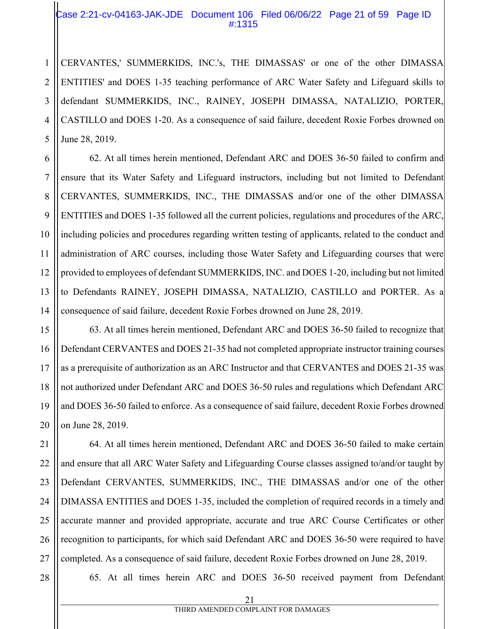#### Case 2:21-cv-04163-JAK-JDE Document 106 Filed 06/06/22 Page 21 of 59 Page ID #:1315

2 3 4 5 CERVANTES,' SUMMERKIDS, INC.'s, THE DIMASSAS' or one of the other DIMASSA ENTITIES' and DOES 1-35 teaching performance of ARC Water Safety and Lifeguard skills to defendant SUMMERKIDS, INC., RAINEY, JOSEPH DIMASSA, NATALIZIO, PORTER, CASTILLO and DOES 1-20. As a consequence of said failure, decedent Roxie Forbes drowned on June 28, 2019.

6 7 8 9 10 11 12 13 14 62. At all times herein mentioned, Defendant ARC and DOES 36-50 failed to confirm and ensure that its Water Safety and Lifeguard instructors, including but not limited to Defendant CERVANTES, SUMMERKIDS, INC., THE DIMASSAS and/or one of the other DIMASSA ENTITIES and DOES 1-35 followed all the current policies, regulations and procedures of the ARC, including policies and procedures regarding written testing of applicants, related to the conduct and administration of ARC courses, including those Water Safety and Lifeguarding courses that were provided to employees of defendant SUMMERKIDS, INC. and DOES 1-20, including but not limited to Defendants RAINEY, JOSEPH DIMASSA, NATALIZIO, CASTILLO and PORTER. As a consequence of said failure, decedent Roxie Forbes drowned on June 28, 2019.

15 16 17 18 19 20 63. At all times herein mentioned, Defendant ARC and DOES 36-50 failed to recognize that Defendant CERVANTES and DOES 21-35 had not completed appropriate instructor training courses as a prerequisite of authorization as an ARC Instructor and that CERVANTES and DOES 21-35 was not authorized under Defendant ARC and DOES 36-50 rules and regulations which Defendant ARC and DOES 36-50 failed to enforce. As a consequence of said failure, decedent Roxie Forbes drowned on June 28, 2019.

21 22 23 24 25 26 27 64. At all times herein mentioned, Defendant ARC and DOES 36-50 failed to make certain and ensure that all ARC Water Safety and Lifeguarding Course classes assigned to/and/or taught by Defendant CERVANTES, SUMMERKIDS, INC., THE DIMASSAS and/or one of the other DIMASSA ENTITIES and DOES 1-35, included the completion of required records in a timely and accurate manner and provided appropriate, accurate and true ARC Course Certificates or other recognition to participants, for which said Defendant ARC and DOES 36-50 were required to have completed. As a consequence of said failure, decedent Roxie Forbes drowned on June 28, 2019.

28

1

65. At all times herein ARC and DOES 36-50 received payment from Defendant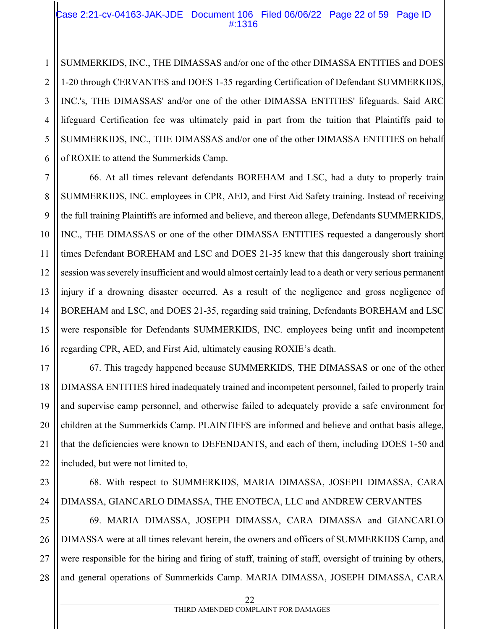#### Case 2:21-cv-04163-JAK-JDE Document 106 Filed 06/06/22 Page 22 of 59 Page ID #:1316

1 SUMMERKIDS, INC., THE DIMASSAS and/or one of the other DIMASSA ENTITIES and DOES 1-20 through CERVANTES and DOES 1-35 regarding Certification of Defendant SUMMERKIDS, INC.'s, THE DIMASSAS' and/or one of the other DIMASSA ENTITIES' lifeguards. Said ARC lifeguard Certification fee was ultimately paid in part from the tuition that Plaintiffs paid to SUMMERKIDS, INC., THE DIMASSAS and/or one of the other DIMASSA ENTITIES on behalf of ROXIE to attend the Summerkids Camp.

66. At all times relevant defendants BOREHAM and LSC, had a duty to properly train SUMMERKIDS, INC. employees in CPR, AED, and First Aid Safety training. Instead of receiving the full training Plaintiffs are informed and believe, and thereon allege, Defendants SUMMERKIDS, INC., THE DIMASSAS or one of the other DIMASSA ENTITIES requested a dangerously short times Defendant BOREHAM and LSC and DOES 21-35 knew that this dangerously short training session was severely insufficient and would almost certainly lead to a death or very serious permanent injury if a drowning disaster occurred. As a result of the negligence and gross negligence of BOREHAM and LSC, and DOES 21-35, regarding said training, Defendants BOREHAM and LSC were responsible for Defendants SUMMERKIDS, INC. employees being unfit and incompetent regarding CPR, AED, and First Aid, ultimately causing ROXIE's death.

67. This tragedy happened because SUMMERKIDS, THE DIMASSAS or one of the other DIMASSA ENTITIES hired inadequately trained and incompetent personnel, failed to properly train and supervise camp personnel, and otherwise failed to adequately provide a safe environment for children at the Summerkids Camp. PLAINTIFFS are informed and believe and onthat basis allege, that the deficiencies were known to DEFENDANTS, and each of them, including DOES 1-50 and included, but were not limited to,

68. With respect to SUMMERKIDS, MARIA DIMASSA, JOSEPH DIMASSA, CARA DIMASSA, GIANCARLO DIMASSA, THE ENOTECA, LLC and ANDREW CERVANTES

25 26 28 69. MARIA DIMASSA, JOSEPH DIMASSA, CARA DIMASSA and GIANCARLO DIMASSA were at all times relevant herein, the owners and officers of SUMMERKIDS Camp, and were responsible for the hiring and firing of staff, training of staff, oversight of training by others, and general operations of Summerkids Camp. MARIA DIMASSA, JOSEPH DIMASSA, CARA

24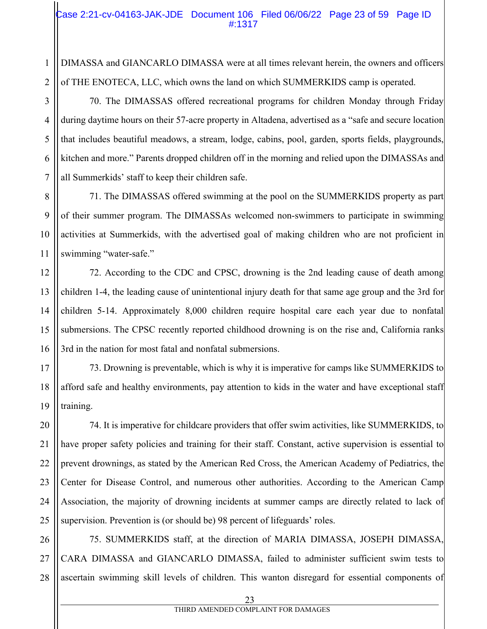#### Case 2:21-cv-04163-JAK-JDE Document 106 Filed 06/06/22 Page 23 of 59 Page ID #:1317

DIMASSA and GIANCARLO DIMASSA were at all times relevant herein, the owners and officers of THE ENOTECA, LLC, which owns the land on which SUMMERKIDS camp is operated.

70. The DIMASSAS offered recreational programs for children Monday through Friday during daytime hours on their 57-acre property in Altadena, advertised as a "safe and secure location that includes beautiful meadows, a stream, lodge, cabins, pool, garden, sports fields, playgrounds, kitchen and more." Parents dropped children off in the morning and relied upon the DIMASSAs and all Summerkids' staff to keep their children safe.

71. The DIMASSAS offered swimming at the pool on the SUMMERKIDS property as part of their summer program. The DIMASSAs welcomed non-swimmers to participate in swimming activities at Summerkids, with the advertised goal of making children who are not proficient in swimming "water-safe."

72. According to the CDC and CPSC, drowning is the 2nd leading cause of death among children 1-4, the leading cause of unintentional injury death for that same age group and the 3rd for children 5-14. Approximately 8,000 children require hospital care each year due to nonfatal submersions. The CPSC recently reported childhood drowning is on the rise and, California ranks 3rd in the nation for most fatal and nonfatal submersions.

73. Drowning is preventable, which is why it is imperative for camps like SUMMERKIDS to afford safe and healthy environments, pay attention to kids in the water and have exceptional staff training.

74. It is imperative for childcare providers that offer swim activities, like SUMMERKIDS, to have proper safety policies and training for their staff. Constant, active supervision is essential to prevent drownings, as stated by the American Red Cross, the American Academy of Pediatrics, the Center for Disease Control, and numerous other authorities. According to the American Camp Association, the majority of drowning incidents at summer camps are directly related to lack of supervision. Prevention is (or should be) 98 percent of lifeguards' roles.

75. SUMMERKIDS staff, at the direction of MARIA DIMASSA, JOSEPH DIMASSA, CARA DIMASSA and GIANCARLO DIMASSA, failed to administer sufficient swim tests to ascertain swimming skill levels of children. This wanton disregard for essential components of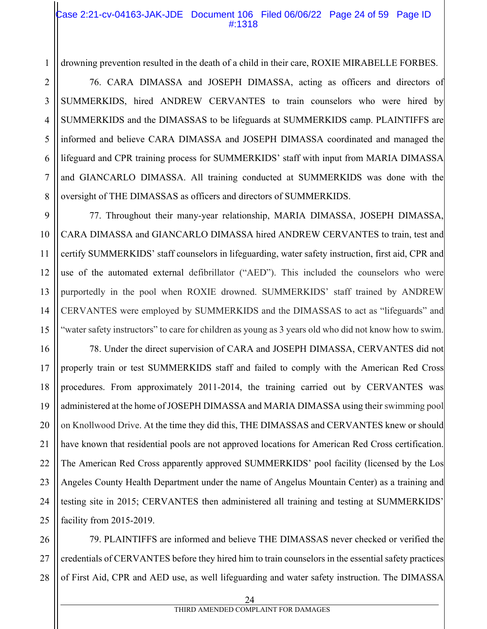#### Case 2:21-cv-04163-JAK-JDE Document 106 Filed 06/06/22 Page 24 of 59 Page ID #:1318

drowning prevention resulted in the death of a child in their care, ROXIE MIRABELLE FORBES.

76. CARA DIMASSA and JOSEPH DIMASSA, acting as officers and directors of SUMMERKIDS, hired ANDREW CERVANTES to train counselors who were hired by SUMMERKIDS and the DIMASSAS to be lifeguards at SUMMERKIDS camp. PLAINTIFFS are informed and believe CARA DIMASSA and JOSEPH DIMASSA coordinated and managed the lifeguard and CPR training process for SUMMERKIDS' staff with input from MARIA DIMASSA and GIANCARLO DIMASSA. All training conducted at SUMMERKIDS was done with the oversight of THE DIMASSAS as officers and directors of SUMMERKIDS.

77. Throughout their many-year relationship, MARIA DIMASSA, JOSEPH DIMASSA, CARA DIMASSA and GIANCARLO DIMASSA hired ANDREW CERVANTES to train, test and certify SUMMERKIDS' staff counselors in lifeguarding, water safety instruction, first aid, CPR and use of the automated external defibrillator ("AED"). This included the counselors who were purportedly in the pool when ROXIE drowned. SUMMERKIDS' staff trained by ANDREW CERVANTES were employed by SUMMERKIDS and the DIMASSAS to act as "lifeguards" and "water safety instructors" to care for children as young as 3 years old who did not know how to swim.

78. Under the direct supervision of CARA and JOSEPH DIMASSA, CERVANTES did not properly train or test SUMMERKIDS staff and failed to comply with the American Red Cross procedures. From approximately 2011-2014, the training carried out by CERVANTES was administered at the home of JOSEPH DIMASSA and MARIA DIMASSA using their swimming pool on Knollwood Drive. At the time they did this, THE DIMASSAS and CERVANTES knew or should have known that residential pools are not approved locations for American Red Cross certification. The American Red Cross apparently approved SUMMERKIDS' pool facility (licensed by the Los Angeles County Health Department under the name of Angelus Mountain Center) as a training and testing site in 2015; CERVANTES then administered all training and testing at SUMMERKIDS' facility from 2015-2019.

79. PLAINTIFFS are informed and believe THE DIMASSAS never checked or verified the credentials of CERVANTES before they hired him to train counselors in the essential safety practices of First Aid, CPR and AED use, as well lifeguarding and water safety instruction. The DIMASSA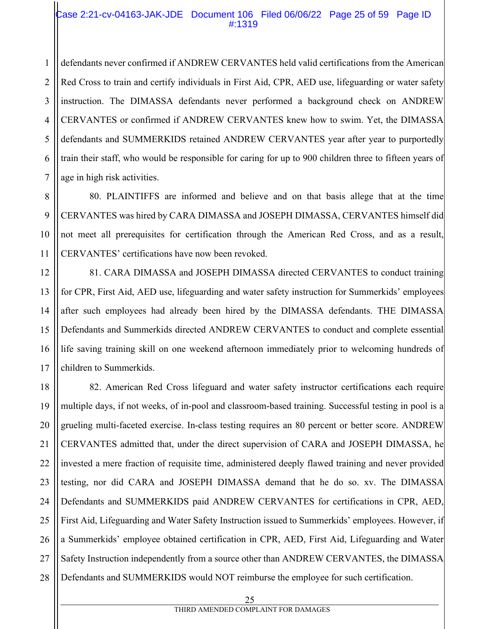#### Case 2:21-cv-04163-JAK-JDE Document 106 Filed 06/06/22 Page 25 of 59 Page ID #:1319

1 2 defendants never confirmed if ANDREW CERVANTES held valid certifications from the American Red Cross to train and certify individuals in First Aid, CPR, AED use, lifeguarding or water safety instruction. The DIMASSA defendants never performed a background check on ANDREW CERVANTES or confirmed if ANDREW CERVANTES knew how to swim. Yet, the DIMASSA defendants and SUMMERKIDS retained ANDREW CERVANTES year after year to purportedly train their staff, who would be responsible for caring for up to 900 children three to fifteen years of age in high risk activities.

80. PLAINTIFFS are informed and believe and on that basis allege that at the time CERVANTES was hired by CARA DIMASSA and JOSEPH DIMASSA, CERVANTES himself did not meet all prerequisites for certification through the American Red Cross, and as a result, CERVANTES' certifications have now been revoked.

81. CARA DIMASSA and JOSEPH DIMASSA directed CERVANTES to conduct training for CPR, First Aid, AED use, lifeguarding and water safety instruction for Summerkids' employees after such employees had already been hired by the DIMASSA defendants. THE DIMASSA Defendants and Summerkids directed ANDREW CERVANTES to conduct and complete essential life saving training skill on one weekend afternoon immediately prior to welcoming hundreds of children to Summerkids.

18 19 20 21 22 23 24 25 26 27 28 82. American Red Cross lifeguard and water safety instructor certifications each require multiple days, if not weeks, of in-pool and classroom-based training. Successful testing in pool is a grueling multi-faceted exercise. In-class testing requires an 80 percent or better score. ANDREW CERVANTES admitted that, under the direct supervision of CARA and JOSEPH DIMASSA, he invested a mere fraction of requisite time, administered deeply flawed training and never provided testing, nor did CARA and JOSEPH DIMASSA demand that he do so. xv. The DIMASSA Defendants and SUMMERKIDS paid ANDREW CERVANTES for certifications in CPR, AED, First Aid, Lifeguarding and Water Safety Instruction issued to Summerkids' employees. However, if a Summerkids' employee obtained certification in CPR, AED, First Aid, Lifeguarding and Water Safety Instruction independently from a source other than ANDREW CERVANTES, the DIMASSA Defendants and SUMMERKIDS would NOT reimburse the employee for such certification.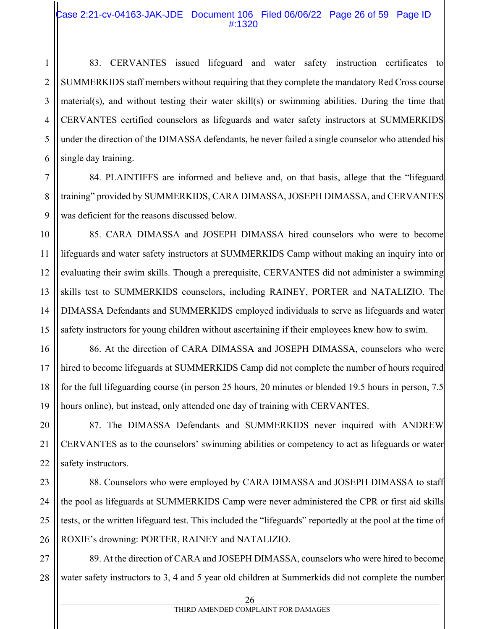#### Case 2:21-cv-04163-JAK-JDE Document 106 Filed 06/06/22 Page 26 of 59 Page ID #:1320

83. CERVANTES issued lifeguard and water safety instruction certificates to SUMMERKIDS staff members without requiring that they complete the mandatory Red Cross course material(s), and without testing their water skill(s) or swimming abilities. During the time that CERVANTES certified counselors as lifeguards and water safety instructors at SUMMERKIDS under the direction of the DIMASSA defendants, he never failed a single counselor who attended his single day training.

84. PLAINTIFFS are informed and believe and, on that basis, allege that the "lifeguard training" provided by SUMMERKIDS, CARA DIMASSA, JOSEPH DIMASSA, and CERVANTES was deficient for the reasons discussed below.

85. CARA DIMASSA and JOSEPH DIMASSA hired counselors who were to become lifeguards and water safety instructors at SUMMERKIDS Camp without making an inquiry into or evaluating their swim skills. Though a prerequisite, CERVANTES did not administer a swimming skills test to SUMMERKIDS counselors, including RAINEY, PORTER and NATALIZIO. The DIMASSA Defendants and SUMMERKIDS employed individuals to serve as lifeguards and water safety instructors for young children without ascertaining if their employees knew how to swim.

86. At the direction of CARA DIMASSA and JOSEPH DIMASSA, counselors who were hired to become lifeguards at SUMMERKIDS Camp did not complete the number of hours required for the full lifeguarding course (in person 25 hours, 20 minutes or blended 19.5 hours in person, 7.5 hours online), but instead, only attended one day of training with CERVANTES.

87. The DIMASSA Defendants and SUMMERKIDS never inquired with ANDREW CERVANTES as to the counselors' swimming abilities or competency to act as lifeguards or water safety instructors.

88. Counselors who were employed by CARA DIMASSA and JOSEPH DIMASSA to staff the pool as lifeguards at SUMMERKIDS Camp were never administered the CPR or first aid skills tests, or the written lifeguard test. This included the "lifeguards" reportedly at the pool at the time of ROXIE's drowning: PORTER, RAINEY and NATALIZIO.

27 28 89. At the direction of CARA and JOSEPH DIMASSA, counselors who were hired to become water safety instructors to 3, 4 and 5 year old children at Summerkids did not complete the number

 26 THIRD AMENDED COMPLAINT FOR DAMAGES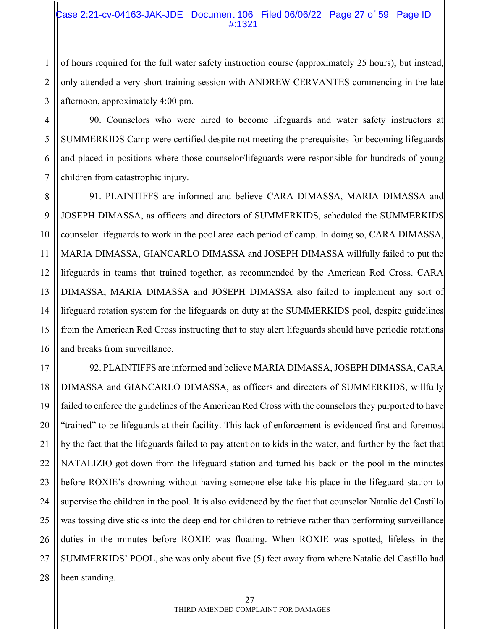#### Case 2:21-cv-04163-JAK-JDE Document 106 Filed 06/06/22 Page 27 of 59 Page ID #:1321

of hours required for the full water safety instruction course (approximately 25 hours), but instead, only attended a very short training session with ANDREW CERVANTES commencing in the late afternoon, approximately 4:00 pm.

90. Counselors who were hired to become lifeguards and water safety instructors at SUMMERKIDS Camp were certified despite not meeting the prerequisites for becoming lifeguards and placed in positions where those counselor/lifeguards were responsible for hundreds of young children from catastrophic injury.

91. PLAINTIFFS are informed and believe CARA DIMASSA, MARIA DIMASSA and JOSEPH DIMASSA, as officers and directors of SUMMERKIDS, scheduled the SUMMERKIDS counselor lifeguards to work in the pool area each period of camp. In doing so, CARA DIMASSA, MARIA DIMASSA, GIANCARLO DIMASSA and JOSEPH DIMASSA willfully failed to put the lifeguards in teams that trained together, as recommended by the American Red Cross. CARA DIMASSA, MARIA DIMASSA and JOSEPH DIMASSA also failed to implement any sort of lifeguard rotation system for the lifeguards on duty at the SUMMERKIDS pool, despite guidelines from the American Red Cross instructing that to stay alert lifeguards should have periodic rotations and breaks from surveillance.

92. PLAINTIFFS are informed and believe MARIA DIMASSA, JOSEPH DIMASSA, CARA DIMASSA and GIANCARLO DIMASSA, as officers and directors of SUMMERKIDS, willfully failed to enforce the guidelines of the American Red Cross with the counselors they purported to have "trained" to be lifeguards at their facility. This lack of enforcement is evidenced first and foremost by the fact that the lifeguards failed to pay attention to kids in the water, and further by the fact that NATALIZIO got down from the lifeguard station and turned his back on the pool in the minutes before ROXIE's drowning without having someone else take his place in the lifeguard station to supervise the children in the pool. It is also evidenced by the fact that counselor Natalie del Castillo was tossing dive sticks into the deep end for children to retrieve rather than performing surveillance duties in the minutes before ROXIE was floating. When ROXIE was spotted, lifeless in the SUMMERKIDS' POOL, she was only about five (5) feet away from where Natalie del Castillo had been standing.

1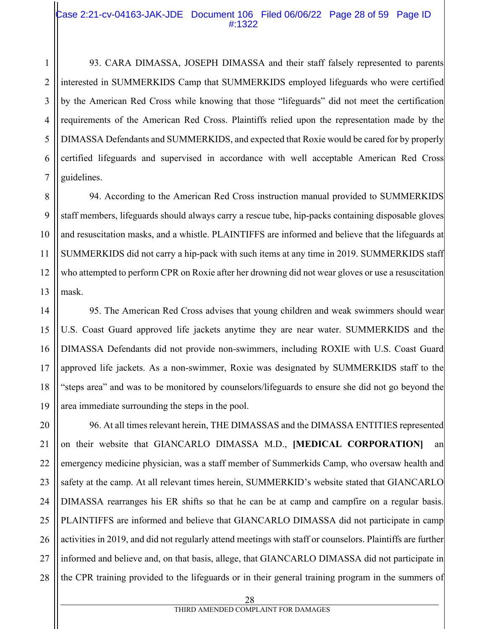#### Case 2:21-cv-04163-JAK-JDE Document 106 Filed 06/06/22 Page 28 of 59 Page ID #:1322

93. CARA DIMASSA, JOSEPH DIMASSA and their staff falsely represented to parents interested in SUMMERKIDS Camp that SUMMERKIDS employed lifeguards who were certified by the American Red Cross while knowing that those "lifeguards" did not meet the certification requirements of the American Red Cross. Plaintiffs relied upon the representation made by the DIMASSA Defendants and SUMMERKIDS, and expected that Roxie would be cared for by properly certified lifeguards and supervised in accordance with well acceptable American Red Cross guidelines.

94. According to the American Red Cross instruction manual provided to SUMMERKIDS staff members, lifeguards should always carry a rescue tube, hip-packs containing disposable gloves and resuscitation masks, and a whistle. PLAINTIFFS are informed and believe that the lifeguards at SUMMERKIDS did not carry a hip-pack with such items at any time in 2019. SUMMERKIDS staff who attempted to perform CPR on Roxie after her drowning did not wear gloves or use a resuscitation mask.

95. The American Red Cross advises that young children and weak swimmers should wear U.S. Coast Guard approved life jackets anytime they are near water. SUMMERKIDS and the DIMASSA Defendants did not provide non-swimmers, including ROXIE with U.S. Coast Guard approved life jackets. As a non-swimmer, Roxie was designated by SUMMERKIDS staff to the "steps area" and was to be monitored by counselors/lifeguards to ensure she did not go beyond the area immediate surrounding the steps in the pool.

96. At all times relevant herein, THE DIMASSAS and the DIMASSA ENTITIES represented on their website that GIANCARLO DIMASSA M.D., **[MEDICAL CORPORATION]** an emergency medicine physician, was a staff member of Summerkids Camp, who oversaw health and safety at the camp. At all relevant times herein, SUMMERKID's website stated that GIANCARLO DIMASSA rearranges his ER shifts so that he can be at camp and campfire on a regular basis. PLAINTIFFS are informed and believe that GIANCARLO DIMASSA did not participate in camp activities in 2019, and did not regularly attend meetings with staff or counselors. Plaintiffs are further informed and believe and, on that basis, allege, that GIANCARLO DIMASSA did not participate in the CPR training provided to the lifeguards or in their general training program in the summers of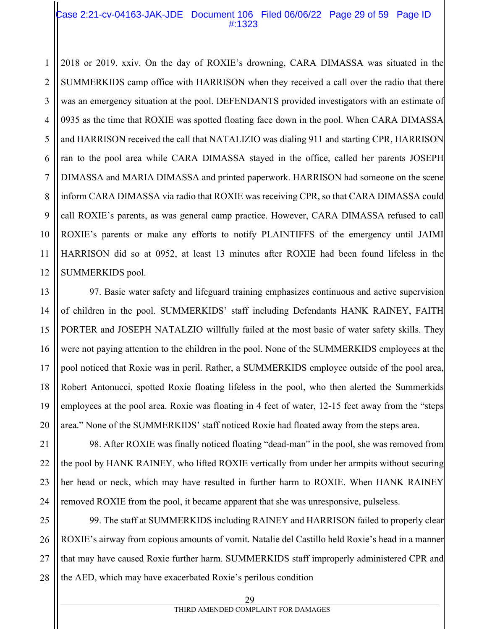#### Case 2:21-cv-04163-JAK-JDE Document 106 Filed 06/06/22 Page 29 of 59 Page ID #:1323

2018 or 2019. xxiv. On the day of ROXIE's drowning, CARA DIMASSA was situated in the SUMMERKIDS camp office with HARRISON when they received a call over the radio that there was an emergency situation at the pool. DEFENDANTS provided investigators with an estimate of 0935 as the time that ROXIE was spotted floating face down in the pool. When CARA DIMASSA and HARRISON received the call that NATALIZIO was dialing 911 and starting CPR, HARRISON ran to the pool area while CARA DIMASSA stayed in the office, called her parents JOSEPH DIMASSA and MARIA DIMASSA and printed paperwork. HARRISON had someone on the scene inform CARA DIMASSA via radio that ROXIE was receiving CPR, so that CARA DIMASSA could call ROXIE's parents, as was general camp practice. However, CARA DIMASSA refused to call ROXIE's parents or make any efforts to notify PLAINTIFFS of the emergency until JAIMI HARRISON did so at 0952, at least 13 minutes after ROXIE had been found lifeless in the SUMMERKIDS pool.

97. Basic water safety and lifeguard training emphasizes continuous and active supervision of children in the pool. SUMMERKIDS' staff including Defendants HANK RAINEY, FAITH PORTER and JOSEPH NATALZIO willfully failed at the most basic of water safety skills. They were not paying attention to the children in the pool. None of the SUMMERKIDS employees at the pool noticed that Roxie was in peril. Rather, a SUMMERKIDS employee outside of the pool area, Robert Antonucci, spotted Roxie floating lifeless in the pool, who then alerted the Summerkids employees at the pool area. Roxie was floating in 4 feet of water, 12-15 feet away from the "steps area." None of the SUMMERKIDS' staff noticed Roxie had floated away from the steps area.

98. After ROXIE was finally noticed floating "dead-man" in the pool, she was removed from the pool by HANK RAINEY, who lifted ROXIE vertically from under her armpits without securing her head or neck, which may have resulted in further harm to ROXIE. When HANK RAINEY removed ROXIE from the pool, it became apparent that she was unresponsive, pulseless.

28 99. The staff at SUMMERKIDS including RAINEY and HARRISON failed to properly clear ROXIE's airway from copious amounts of vomit. Natalie del Castillo held Roxie's head in a manner that may have caused Roxie further harm. SUMMERKIDS staff improperly administered CPR and the AED, which may have exacerbated Roxie's perilous condition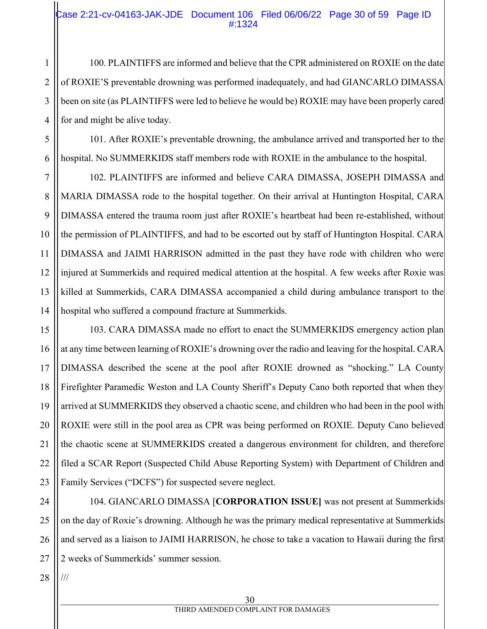#### Case 2:21-cv-04163-JAK-JDE Document 106 Filed 06/06/22 Page 30 of 59 Page ID #:1324

100. PLAINTIFFS are informed and believe that the CPR administered on ROXIE on the date of ROXIE'S preventable drowning was performed inadequately, and had GIANCARLO DIMASSA been on site (as PLAINTIFFS were led to believe he would be) ROXIE may have been properly cared for and might be alive today.

101. After ROXIE's preventable drowning, the ambulance arrived and transported her to the hospital. No SUMMERKIDS staff members rode with ROXIE in the ambulance to the hospital.

7 8 9 10 11 12 13 14 102. PLAINTIFFS are informed and believe CARA DIMASSA, JOSEPH DIMASSA and MARIA DIMASSA rode to the hospital together. On their arrival at Huntington Hospital, CARA DIMASSA entered the trauma room just after ROXIE's heartbeat had been re-established, without the permission of PLAINTIFFS, and had to be escorted out by staff of Huntington Hospital. CARA DIMASSA and JAIMI HARRISON admitted in the past they have rode with children who were injured at Summerkids and required medical attention at the hospital. A few weeks after Roxie was killed at Summerkids, CARA DIMASSA accompanied a child during ambulance transport to the hospital who suffered a compound fracture at Summerkids.

15 16 17 18 19 20 21 22 23 103. CARA DIMASSA made no effort to enact the SUMMERKIDS emergency action plan at any time between learning of ROXIE's drowning over the radio and leaving for the hospital. CARA DIMASSA described the scene at the pool after ROXIE drowned as "shocking." LA County Firefighter Paramedic Weston and LA County Sheriff's Deputy Cano both reported that when they arrived at SUMMERKIDS they observed a chaotic scene, and children who had been in the pool with ROXIE were still in the pool area as CPR was being performed on ROXIE. Deputy Cano believed the chaotic scene at SUMMERKIDS created a dangerous environment for children, and therefore filed a SCAR Report (Suspected Child Abuse Reporting System) with Department of Children and Family Services ("DCFS") for suspected severe neglect.

24 25 26 27 104. GIANCARLO DIMASSA [**CORPORATION ISSUE]** was not present at Summerkids on the day of Roxie's drowning. Although he was the primary medical representative at Summerkids and served as a liaison to JAIMI HARRISON, he chose to take a vacation to Hawaii during the first 2 weeks of Summerkids' summer session.

28 ///

1

2

3

4

5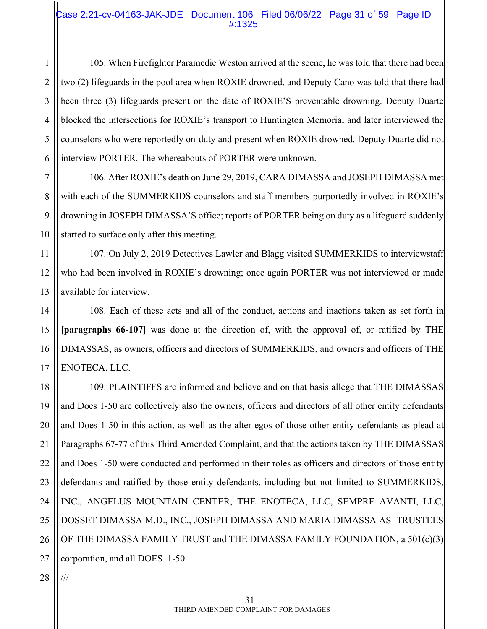#### Case 2:21-cv-04163-JAK-JDE Document 106 Filed 06/06/22 Page 31 of 59 Page ID #:1325

2 3 4 5 6 105. When Firefighter Paramedic Weston arrived at the scene, he was told that there had been two (2) lifeguards in the pool area when ROXIE drowned, and Deputy Cano was told that there had been three (3) lifeguards present on the date of ROXIE'S preventable drowning. Deputy Duarte blocked the intersections for ROXIE's transport to Huntington Memorial and later interviewed the counselors who were reportedly on-duty and present when ROXIE drowned. Deputy Duarte did not interview PORTER. The whereabouts of PORTER were unknown.

106. After ROXIE's death on June 29, 2019, CARA DIMASSA and JOSEPH DIMASSA met with each of the SUMMERKIDS counselors and staff members purportedly involved in ROXIE's drowning in JOSEPH DIMASSA'S office; reports of PORTER being on duty as a lifeguard suddenly started to surface only after this meeting.

11 12 13 107. On July 2, 2019 Detectives Lawler and Blagg visited SUMMERKIDS to interviewstaff who had been involved in ROXIE's drowning; once again PORTER was not interviewed or made available for interview.

14 15 16 17 108. Each of these acts and all of the conduct, actions and inactions taken as set forth in **[paragraphs 66-107]** was done at the direction of, with the approval of, or ratified by THE DIMASSAS, as owners, officers and directors of SUMMERKIDS, and owners and officers of THE ENOTECA, LLC.

18 19 20 21 22 23 24 25 26 27 109. PLAINTIFFS are informed and believe and on that basis allege that THE DIMASSAS and Does 1-50 are collectively also the owners, officers and directors of all other entity defendants and Does 1-50 in this action, as well as the alter egos of those other entity defendants as plead at Paragraphs 67-77 of this Third Amended Complaint, and that the actions taken by THE DIMASSAS and Does 1-50 were conducted and performed in their roles as officers and directors of those entity defendants and ratified by those entity defendants, including but not limited to SUMMERKIDS, INC., ANGELUS MOUNTAIN CENTER, THE ENOTECA, LLC, SEMPRE AVANTI, LLC, DOSSET DIMASSA M.D., INC., JOSEPH DIMASSA AND MARIA DIMASSA AS TRUSTEES OF THE DIMASSA FAMILY TRUST and THE DIMASSA FAMILY FOUNDATION, a 501(c)(3) corporation, and all DOES 1-50.

28 ///

1

7

8

9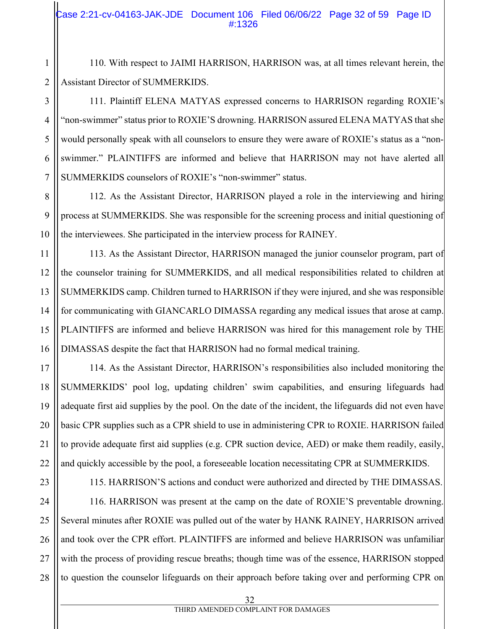2 110. With respect to JAIMI HARRISON, HARRISON was, at all times relevant herein, the Assistant Director of SUMMERKIDS.

111. Plaintiff ELENA MATYAS expressed concerns to HARRISON regarding ROXIE's "non-swimmer" status prior to ROXIE'S drowning. HARRISON assured ELENA MATYAS that she would personally speak with all counselors to ensure they were aware of ROXIE's status as a "nonswimmer." PLAINTIFFS are informed and believe that HARRISON may not have alerted all SUMMERKIDS counselors of ROXIE's "non-swimmer" status.

8 9 10 112. As the Assistant Director, HARRISON played a role in the interviewing and hiring process at SUMMERKIDS. She was responsible for the screening process and initial questioning of the interviewees. She participated in the interview process for RAINEY.

11 12 13 14 15 16 113. As the Assistant Director, HARRISON managed the junior counselor program, part of the counselor training for SUMMERKIDS, and all medical responsibilities related to children at SUMMERKIDS camp. Children turned to HARRISON if they were injured, and she was responsible for communicating with GIANCARLO DIMASSA regarding any medical issues that arose at camp. PLAINTIFFS are informed and believe HARRISON was hired for this management role by THE DIMASSAS despite the fact that HARRISON had no formal medical training.

17 18 19 20 21 22 114. As the Assistant Director, HARRISON's responsibilities also included monitoring the SUMMERKIDS' pool log, updating children' swim capabilities, and ensuring lifeguards had adequate first aid supplies by the pool. On the date of the incident, the lifeguards did not even have basic CPR supplies such as a CPR shield to use in administering CPR to ROXIE. HARRISON failed to provide adequate first aid supplies (e.g. CPR suction device, AED) or make them readily, easily, and quickly accessible by the pool, a foreseeable location necessitating CPR at SUMMERKIDS.

23

1

3

4

5

6

7

115. HARRISON'S actions and conduct were authorized and directed by THE DIMASSAS.

24 25 26 27 28 116. HARRISON was present at the camp on the date of ROXIE'S preventable drowning. Several minutes after ROXIE was pulled out of the water by HANK RAINEY, HARRISON arrived and took over the CPR effort. PLAINTIFFS are informed and believe HARRISON was unfamiliar with the process of providing rescue breaths; though time was of the essence, HARRISON stopped to question the counselor lifeguards on their approach before taking over and performing CPR on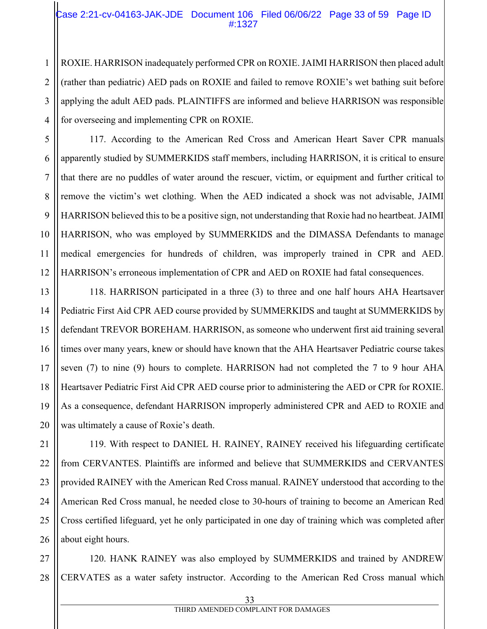#### Case 2:21-cv-04163-JAK-JDE Document 106 Filed 06/06/22 Page 33 of 59 Page ID #:1327

ROXIE. HARRISON inadequately performed CPR on ROXIE. JAIMI HARRISON then placed adult (rather than pediatric) AED pads on ROXIE and failed to remove ROXIE's wet bathing suit before applying the adult AED pads. PLAINTIFFS are informed and believe HARRISON was responsible for overseeing and implementing CPR on ROXIE.

117. According to the American Red Cross and American Heart Saver CPR manuals apparently studied by SUMMERKIDS staff members, including HARRISON, it is critical to ensure that there are no puddles of water around the rescuer, victim, or equipment and further critical to remove the victim's wet clothing. When the AED indicated a shock was not advisable, JAIMI HARRISON believed this to be a positive sign, not understanding that Roxie had no heartbeat. JAIMI HARRISON, who was employed by SUMMERKIDS and the DIMASSA Defendants to manage medical emergencies for hundreds of children, was improperly trained in CPR and AED. HARRISON's erroneous implementation of CPR and AED on ROXIE had fatal consequences.

118. HARRISON participated in a three (3) to three and one half hours AHA Heartsaver Pediatric First Aid CPR AED course provided by SUMMERKIDS and taught at SUMMERKIDS by defendant TREVOR BOREHAM. HARRISON, as someone who underwent first aid training several times over many years, knew or should have known that the AHA Heartsaver Pediatric course takes seven (7) to nine (9) hours to complete. HARRISON had not completed the 7 to 9 hour AHA Heartsaver Pediatric First Aid CPR AED course prior to administering the AED or CPR for ROXIE. As a consequence, defendant HARRISON improperly administered CPR and AED to ROXIE and was ultimately a cause of Roxie's death.

119. With respect to DANIEL H. RAINEY, RAINEY received his lifeguarding certificate from CERVANTES. Plaintiffs are informed and believe that SUMMERKIDS and CERVANTES provided RAINEY with the American Red Cross manual. RAINEY understood that according to the American Red Cross manual, he needed close to 30-hours of training to become an American Red Cross certified lifeguard, yet he only participated in one day of training which was completed after about eight hours.

28 120. HANK RAINEY was also employed by SUMMERKIDS and trained by ANDREW CERVATES as a water safety instructor. According to the American Red Cross manual which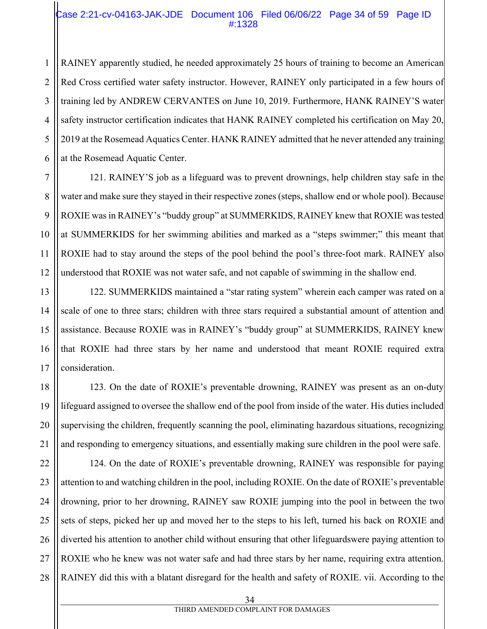#### Case 2:21-cv-04163-JAK-JDE Document 106 Filed 06/06/22 Page 34 of 59 Page ID #:1328

RAINEY apparently studied, he needed approximately 25 hours of training to become an American Red Cross certified water safety instructor. However, RAINEY only participated in a few hours of training led by ANDREW CERVANTES on June 10, 2019. Furthermore, HANK RAINEY'S water safety instructor certification indicates that HANK RAINEY completed his certification on May 20, 2019 at the Rosemead Aquatics Center. HANK RAINEY admitted that he never attended any training at the Rosemead Aquatic Center.

121. RAINEY'S job as a lifeguard was to prevent drownings, help children stay safe in the water and make sure they stayed in their respective zones (steps, shallow end or whole pool). Because ROXIE was in RAINEY's "buddy group" at SUMMERKIDS, RAINEY knew that ROXIE was tested at SUMMERKIDS for her swimming abilities and marked as a "steps swimmer;" this meant that ROXIE had to stay around the steps of the pool behind the pool's three-foot mark. RAINEY also understood that ROXIE was not water safe, and not capable of swimming in the shallow end.

122. SUMMERKIDS maintained a "star rating system" wherein each camper was rated on a scale of one to three stars; children with three stars required a substantial amount of attention and assistance. Because ROXIE was in RAINEY's "buddy group" at SUMMERKIDS, RAINEY knew that ROXIE had three stars by her name and understood that meant ROXIE required extra consideration.

123. On the date of ROXIE's preventable drowning, RAINEY was present as an on-duty lifeguard assigned to oversee the shallow end of the pool from inside of the water. His duties included supervising the children, frequently scanning the pool, eliminating hazardous situations, recognizing and responding to emergency situations, and essentially making sure children in the pool were safe.

124. On the date of ROXIE's preventable drowning, RAINEY was responsible for paying attention to and watching children in the pool, including ROXIE. On the date of ROXIE's preventable drowning, prior to her drowning, RAINEY saw ROXIE jumping into the pool in between the two sets of steps, picked her up and moved her to the steps to his left, turned his back on ROXIE and diverted his attention to another child without ensuring that other lifeguardswere paying attention to ROXIE who he knew was not water safe and had three stars by her name, requiring extra attention. RAINEY did this with a blatant disregard for the health and safety of ROXIE. vii. According to the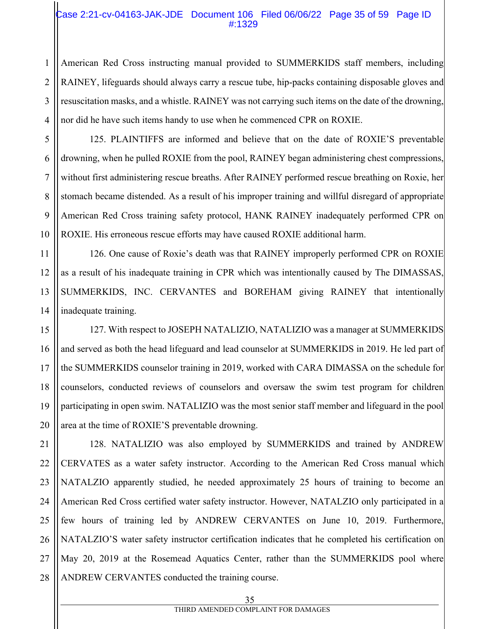#### Case 2:21-cv-04163-JAK-JDE Document 106 Filed 06/06/22 Page 35 of 59 Page ID #:1329

American Red Cross instructing manual provided to SUMMERKIDS staff members, including RAINEY, lifeguards should always carry a rescue tube, hip-packs containing disposable gloves and resuscitation masks, and a whistle. RAINEY was not carrying such items on the date of the drowning, nor did he have such items handy to use when he commenced CPR on ROXIE.

125. PLAINTIFFS are informed and believe that on the date of ROXIE'S preventable drowning, when he pulled ROXIE from the pool, RAINEY began administering chest compressions, without first administering rescue breaths. After RAINEY performed rescue breathing on Roxie, her stomach became distended. As a result of his improper training and willful disregard of appropriate American Red Cross training safety protocol, HANK RAINEY inadequately performed CPR on ROXIE. His erroneous rescue efforts may have caused ROXIE additional harm.

126. One cause of Roxie's death was that RAINEY improperly performed CPR on ROXIE as a result of his inadequate training in CPR which was intentionally caused by The DIMASSAS, SUMMERKIDS, INC. CERVANTES and BOREHAM giving RAINEY that intentionally inadequate training.

127. With respect to JOSEPH NATALIZIO, NATALIZIO was a manager at SUMMERKIDS and served as both the head lifeguard and lead counselor at SUMMERKIDS in 2019. He led part of the SUMMERKIDS counselor training in 2019, worked with CARA DIMASSA on the schedule for counselors, conducted reviews of counselors and oversaw the swim test program for children participating in open swim. NATALIZIO was the most senior staff member and lifeguard in the pool area at the time of ROXIE'S preventable drowning.

28 128. NATALIZIO was also employed by SUMMERKIDS and trained by ANDREW CERVATES as a water safety instructor. According to the American Red Cross manual which NATALZIO apparently studied, he needed approximately 25 hours of training to become an American Red Cross certified water safety instructor. However, NATALZIO only participated in a few hours of training led by ANDREW CERVANTES on June 10, 2019. Furthermore, NATALZIO'S water safety instructor certification indicates that he completed his certification on May 20, 2019 at the Rosemead Aquatics Center, rather than the SUMMERKIDS pool where ANDREW CERVANTES conducted the training course.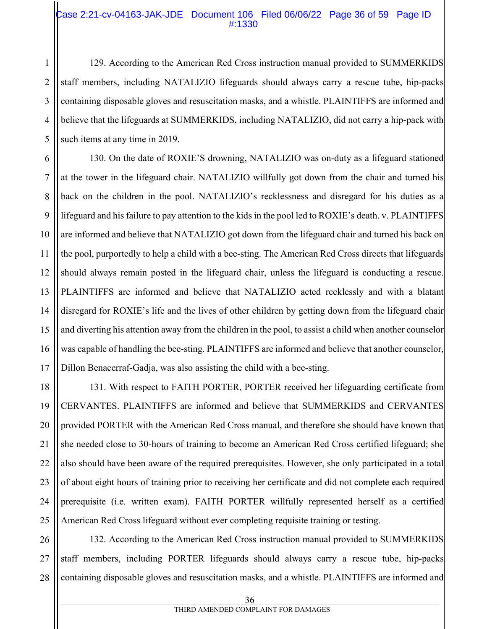#### Case 2:21-cv-04163-JAK-JDE Document 106 Filed 06/06/22 Page 36 of 59 Page ID #:1330

129. According to the American Red Cross instruction manual provided to SUMMERKIDS staff members, including NATALIZIO lifeguards should always carry a rescue tube, hip-packs containing disposable gloves and resuscitation masks, and a whistle. PLAINTIFFS are informed and believe that the lifeguards at SUMMERKIDS, including NATALIZIO, did not carry a hip-pack with such items at any time in 2019.

130. On the date of ROXIE'S drowning, NATALIZIO was on-duty as a lifeguard stationed at the tower in the lifeguard chair. NATALIZIO willfully got down from the chair and turned his back on the children in the pool. NATALIZIO's recklessness and disregard for his duties as a lifeguard and his failure to pay attention to the kids in the pool led to ROXIE's death. v. PLAINTIFFS are informed and believe that NATALIZIO got down from the lifeguard chair and turned his back on the pool, purportedly to help a child with a bee-sting. The American Red Cross directs that lifeguards should always remain posted in the lifeguard chair, unless the lifeguard is conducting a rescue. PLAINTIFFS are informed and believe that NATALIZIO acted recklessly and with a blatant disregard for ROXIE's life and the lives of other children by getting down from the lifeguard chair and diverting his attention away from the children in the pool, to assist a child when another counselor was capable of handling the bee-sting. PLAINTIFFS are informed and believe that another counselor, Dillon Benacerraf-Gadja, was also assisting the child with a bee-sting.

131. With respect to FAITH PORTER, PORTER received her lifeguarding certificate from CERVANTES. PLAINTIFFS are informed and believe that SUMMERKIDS and CERVANTES provided PORTER with the American Red Cross manual, and therefore she should have known that she needed close to 30-hours of training to become an American Red Cross certified lifeguard; she also should have been aware of the required prerequisites. However, she only participated in a total of about eight hours of training prior to receiving her certificate and did not complete each required prerequisite (i.e. written exam). FAITH PORTER willfully represented herself as a certified American Red Cross lifeguard without ever completing requisite training or testing.

26 27 28 132. According to the American Red Cross instruction manual provided to SUMMERKIDS staff members, including PORTER lifeguards should always carry a rescue tube, hip-packs containing disposable gloves and resuscitation masks, and a whistle. PLAINTIFFS are informed and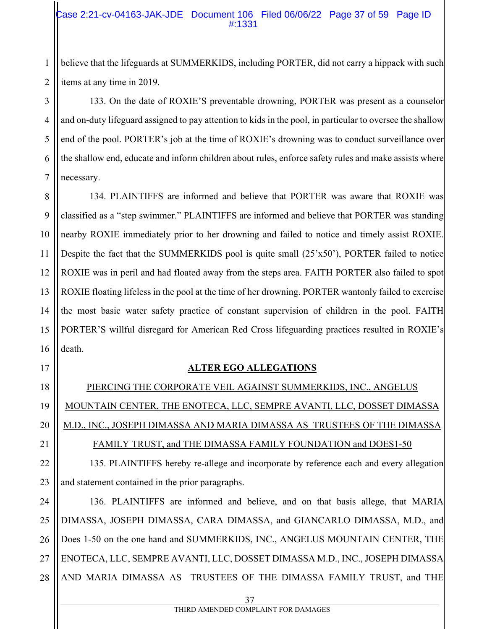#### Case 2:21-cv-04163-JAK-JDE Document 106 Filed 06/06/22 Page 37 of 59 Page ID #:1331

believe that the lifeguards at SUMMERKIDS, including PORTER, did not carry a hippack with such items at any time in 2019.

133. On the date of ROXIE'S preventable drowning, PORTER was present as a counselor and on-duty lifeguard assigned to pay attention to kids in the pool, in particular to oversee the shallow end of the pool. PORTER's job at the time of ROXIE's drowning was to conduct surveillance over the shallow end, educate and inform children about rules, enforce safety rules and make assists where necessary.

8 9 10 11 12 13 14 15 16 134. PLAINTIFFS are informed and believe that PORTER was aware that ROXIE was classified as a "step swimmer." PLAINTIFFS are informed and believe that PORTER was standing nearby ROXIE immediately prior to her drowning and failed to notice and timely assist ROXIE. Despite the fact that the SUMMERKIDS pool is quite small (25'x50'), PORTER failed to notice ROXIE was in peril and had floated away from the steps area. FAITH PORTER also failed to spot ROXIE floating lifeless in the pool at the time of her drowning. PORTER wantonly failed to exercise the most basic water safety practice of constant supervision of children in the pool. FAITH PORTER'S willful disregard for American Red Cross lifeguarding practices resulted in ROXIE's death.

17

1

2

3

4

5

6

7

# 18

19

20

#### **ALTER EGO ALLEGATIONS**

PIERCING THE CORPORATE VEIL AGAINST SUMMERKIDS, INC., ANGELUS MOUNTAIN CENTER, THE ENOTECA, LLC, SEMPRE AVANTI, LLC, DOSSET DIMASSA M.D., INC., JOSEPH DIMASSA AND MARIA DIMASSA AS TRUSTEES OF THE DIMASSA

## 21

# FAMILY TRUST, and THE DIMASSA FAMILY FOUNDATION and DOES1-50

22 23 135. PLAINTIFFS hereby re-allege and incorporate by reference each and every allegation and statement contained in the prior paragraphs.

24 25 26 27 28 136. PLAINTIFFS are informed and believe, and on that basis allege, that MARIA DIMASSA, JOSEPH DIMASSA, CARA DIMASSA, and GIANCARLO DIMASSA, M.D., and Does 1-50 on the one hand and SUMMERKIDS, INC., ANGELUS MOUNTAIN CENTER, THE ENOTECA, LLC, SEMPRE AVANTI, LLC, DOSSET DIMASSA M.D., INC., JOSEPH DIMASSA AND MARIA DIMASSA AS TRUSTEES OF THE DIMASSA FAMILY TRUST, and THE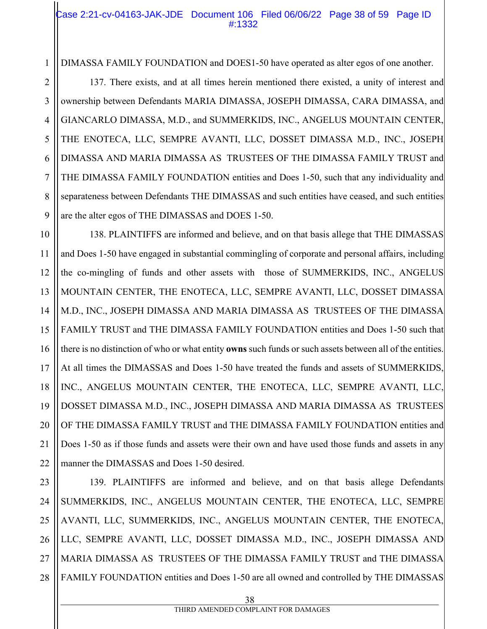#### Case 2:21-cv-04163-JAK-JDE Document 106 Filed 06/06/22 Page 38 of 59 Page ID #:1332

DIMASSA FAMILY FOUNDATION and DOES1-50 have operated as alter egos of one another.

137. There exists, and at all times herein mentioned there existed, a unity of interest and ownership between Defendants MARIA DIMASSA, JOSEPH DIMASSA, CARA DIMASSA, and GIANCARLO DIMASSA, M.D., and SUMMERKIDS, INC., ANGELUS MOUNTAIN CENTER, THE ENOTECA, LLC, SEMPRE AVANTI, LLC, DOSSET DIMASSA M.D., INC., JOSEPH DIMASSA AND MARIA DIMASSA AS TRUSTEES OF THE DIMASSA FAMILY TRUST and THE DIMASSA FAMILY FOUNDATION entities and Does 1-50, such that any individuality and separateness between Defendants THE DIMASSAS and such entities have ceased, and such entities are the alter egos of THE DIMASSAS and DOES 1-50.

138. PLAINTIFFS are informed and believe, and on that basis allege that THE DIMASSAS and Does 1-50 have engaged in substantial commingling of corporate and personal affairs, including the co-mingling of funds and other assets with those of SUMMERKIDS, INC., ANGELUS MOUNTAIN CENTER, THE ENOTECA, LLC, SEMPRE AVANTI, LLC, DOSSET DIMASSA M.D., INC., JOSEPH DIMASSA AND MARIA DIMASSA AS TRUSTEES OF THE DIMASSA FAMILY TRUST and THE DIMASSA FAMILY FOUNDATION entities and Does 1-50 such that there is no distinction of who or what entity **owns** such funds or such assets between all of the entities. At all times the DIMASSAS and Does 1-50 have treated the funds and assets of SUMMERKIDS, INC., ANGELUS MOUNTAIN CENTER, THE ENOTECA, LLC, SEMPRE AVANTI, LLC, DOSSET DIMASSA M.D., INC., JOSEPH DIMASSA AND MARIA DIMASSA AS TRUSTEES OF THE DIMASSA FAMILY TRUST and THE DIMASSA FAMILY FOUNDATION entities and Does 1-50 as if those funds and assets were their own and have used those funds and assets in any manner the DIMASSAS and Does 1-50 desired.

28 139. PLAINTIFFS are informed and believe, and on that basis allege Defendants SUMMERKIDS, INC., ANGELUS MOUNTAIN CENTER, THE ENOTECA, LLC, SEMPRE AVANTI, LLC, SUMMERKIDS, INC., ANGELUS MOUNTAIN CENTER, THE ENOTECA, LLC, SEMPRE AVANTI, LLC, DOSSET DIMASSA M.D., INC., JOSEPH DIMASSA AND MARIA DIMASSA AS TRUSTEES OF THE DIMASSA FAMILY TRUST and THE DIMASSA FAMILY FOUNDATION entities and Does 1-50 are all owned and controlled by THE DIMASSAS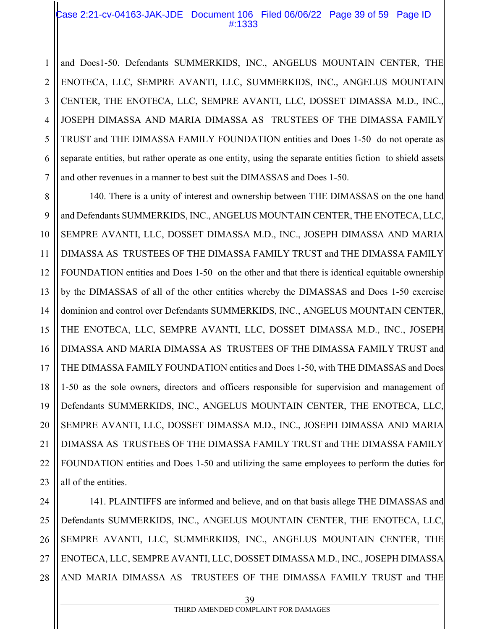#### Case 2:21-cv-04163-JAK-JDE Document 106 Filed 06/06/22 Page 39 of 59 Page ID #:1333

1 and Does1-50. Defendants SUMMERKIDS, INC., ANGELUS MOUNTAIN CENTER, THE ENOTECA, LLC, SEMPRE AVANTI, LLC, SUMMERKIDS, INC., ANGELUS MOUNTAIN CENTER, THE ENOTECA, LLC, SEMPRE AVANTI, LLC, DOSSET DIMASSA M.D., INC., JOSEPH DIMASSA AND MARIA DIMASSA AS TRUSTEES OF THE DIMASSA FAMILY TRUST and THE DIMASSA FAMILY FOUNDATION entities and Does 1-50 do not operate as separate entities, but rather operate as one entity, using the separate entities fiction to shield assets and other revenues in a manner to best suit the DIMASSAS and Does 1-50.

140. There is a unity of interest and ownership between THE DIMASSAS on the one hand and Defendants SUMMERKIDS, INC., ANGELUS MOUNTAIN CENTER, THE ENOTECA, LLC, SEMPRE AVANTI, LLC, DOSSET DIMASSA M.D., INC., JOSEPH DIMASSA AND MARIA DIMASSA AS TRUSTEES OF THE DIMASSA FAMILY TRUST and THE DIMASSA FAMILY FOUNDATION entities and Does 1-50 on the other and that there is identical equitable ownership by the DIMASSAS of all of the other entities whereby the DIMASSAS and Does 1-50 exercise dominion and control over Defendants SUMMERKIDS, INC., ANGELUS MOUNTAIN CENTER, THE ENOTECA, LLC, SEMPRE AVANTI, LLC, DOSSET DIMASSA M.D., INC., JOSEPH DIMASSA AND MARIA DIMASSA AS TRUSTEES OF THE DIMASSA FAMILY TRUST and THE DIMASSA FAMILY FOUNDATION entities and Does 1-50, with THE DIMASSAS and Does 1-50 as the sole owners, directors and officers responsible for supervision and management of Defendants SUMMERKIDS, INC., ANGELUS MOUNTAIN CENTER, THE ENOTECA, LLC, SEMPRE AVANTI, LLC, DOSSET DIMASSA M.D., INC., JOSEPH DIMASSA AND MARIA DIMASSA AS TRUSTEES OF THE DIMASSA FAMILY TRUST and THE DIMASSA FAMILY FOUNDATION entities and Does 1-50 and utilizing the same employees to perform the duties for all of the entities.

28 141. PLAINTIFFS are informed and believe, and on that basis allege THE DIMASSAS and Defendants SUMMERKIDS, INC., ANGELUS MOUNTAIN CENTER, THE ENOTECA, LLC, SEMPRE AVANTI, LLC, SUMMERKIDS, INC., ANGELUS MOUNTAIN CENTER, THE ENOTECA, LLC, SEMPRE AVANTI, LLC, DOSSET DIMASSA M.D., INC., JOSEPH DIMASSA AND MARIA DIMASSA AS TRUSTEES OF THE DIMASSA FAMILY TRUST and THE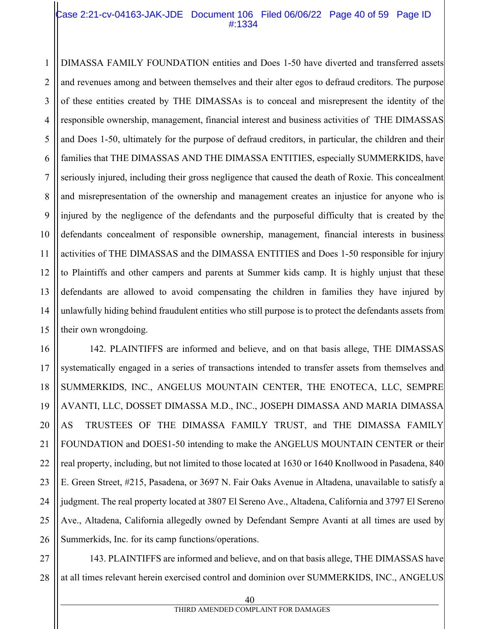#### Case 2:21-cv-04163-JAK-JDE Document 106 Filed 06/06/22 Page 40 of 59 Page ID #:1334

1 2 DIMASSA FAMILY FOUNDATION entities and Does 1-50 have diverted and transferred assets and revenues among and between themselves and their alter egos to defraud creditors. The purpose of these entities created by THE DIMASSAs is to conceal and misrepresent the identity of the responsible ownership, management, financial interest and business activities of THE DIMASSAS and Does 1-50, ultimately for the purpose of defraud creditors, in particular, the children and their families that THE DIMASSAS AND THE DIMASSA ENTITIES, especially SUMMERKIDS, have seriously injured, including their gross negligence that caused the death of Roxie. This concealment and misrepresentation of the ownership and management creates an injustice for anyone who is injured by the negligence of the defendants and the purposeful difficulty that is created by the defendants concealment of responsible ownership, management, financial interests in business activities of THE DIMASSAS and the DIMASSA ENTITIES and Does 1-50 responsible for injury to Plaintiffs and other campers and parents at Summer kids camp. It is highly unjust that these defendants are allowed to avoid compensating the children in families they have injured by unlawfully hiding behind fraudulent entities who still purpose is to protect the defendants assets from their own wrongdoing.

142. PLAINTIFFS are informed and believe, and on that basis allege, THE DIMASSAS systematically engaged in a series of transactions intended to transfer assets from themselves and SUMMERKIDS, INC., ANGELUS MOUNTAIN CENTER, THE ENOTECA, LLC, SEMPRE AVANTI, LLC, DOSSET DIMASSA M.D., INC., JOSEPH DIMASSA AND MARIA DIMASSA AS TRUSTEES OF THE DIMASSA FAMILY TRUST, and THE DIMASSA FAMILY FOUNDATION and DOES1-50 intending to make the ANGELUS MOUNTAIN CENTER or their real property, including, but not limited to those located at 1630 or 1640 Knollwood in Pasadena, 840 E. Green Street, #215, Pasadena, or 3697 N. Fair Oaks Avenue in Altadena, unavailable to satisfy a judgment. The real property located at 3807 El Sereno Ave., Altadena, California and 3797 El Sereno Ave., Altadena, California allegedly owned by Defendant Sempre Avanti at all times are used by Summerkids, Inc. for its camp functions/operations.

143. PLAINTIFFS are informed and believe, and on that basis allege, THE DIMASSAS have at all times relevant herein exercised control and dominion over SUMMERKIDS, INC., ANGELUS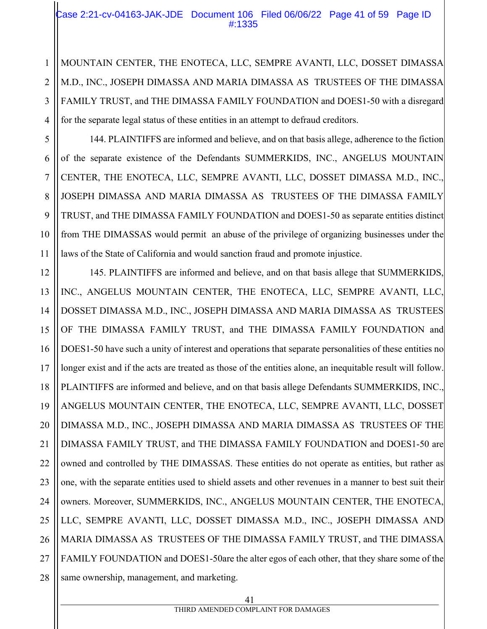#### Case 2:21-cv-04163-JAK-JDE Document 106 Filed 06/06/22 Page 41 of 59 Page ID #:1335

MOUNTAIN CENTER, THE ENOTECA, LLC, SEMPRE AVANTI, LLC, DOSSET DIMASSA M.D., INC., JOSEPH DIMASSA AND MARIA DIMASSA AS TRUSTEES OF THE DIMASSA FAMILY TRUST, and THE DIMASSA FAMILY FOUNDATION and DOES1-50 with a disregard for the separate legal status of these entities in an attempt to defraud creditors.

1

2

3

4

5

6

7

8

9

10

11

144. PLAINTIFFS are informed and believe, and on that basis allege, adherence to the fiction of the separate existence of the Defendants SUMMERKIDS, INC., ANGELUS MOUNTAIN CENTER, THE ENOTECA, LLC, SEMPRE AVANTI, LLC, DOSSET DIMASSA M.D., INC., JOSEPH DIMASSA AND MARIA DIMASSA AS TRUSTEES OF THE DIMASSA FAMILY TRUST, and THE DIMASSA FAMILY FOUNDATION and DOES1-50 as separate entities distinct from THE DIMASSAS would permit an abuse of the privilege of organizing businesses under the laws of the State of California and would sanction fraud and promote injustice.

12 13 14 15 16 17 18 19 20 21 22 23 24 25 26 27 28 145. PLAINTIFFS are informed and believe, and on that basis allege that SUMMERKIDS, INC., ANGELUS MOUNTAIN CENTER, THE ENOTECA, LLC, SEMPRE AVANTI, LLC, DOSSET DIMASSA M.D., INC., JOSEPH DIMASSA AND MARIA DIMASSA AS TRUSTEES OF THE DIMASSA FAMILY TRUST, and THE DIMASSA FAMILY FOUNDATION and DOES1-50 have such a unity of interest and operations that separate personalities of these entities no longer exist and if the acts are treated as those of the entities alone, an inequitable result will follow. PLAINTIFFS are informed and believe, and on that basis allege Defendants SUMMERKIDS, INC., ANGELUS MOUNTAIN CENTER, THE ENOTECA, LLC, SEMPRE AVANTI, LLC, DOSSET DIMASSA M.D., INC., JOSEPH DIMASSA AND MARIA DIMASSA AS TRUSTEES OF THE DIMASSA FAMILY TRUST, and THE DIMASSA FAMILY FOUNDATION and DOES1-50 are owned and controlled by THE DIMASSAS. These entities do not operate as entities, but rather as one, with the separate entities used to shield assets and other revenues in a manner to best suit their owners. Moreover, SUMMERKIDS, INC., ANGELUS MOUNTAIN CENTER, THE ENOTECA, LLC, SEMPRE AVANTI, LLC, DOSSET DIMASSA M.D., INC., JOSEPH DIMASSA AND MARIA DIMASSA AS TRUSTEES OF THE DIMASSA FAMILY TRUST, and THE DIMASSA FAMILY FOUNDATION and DOES1-50are the alter egos of each other, that they share some of the same ownership, management, and marketing.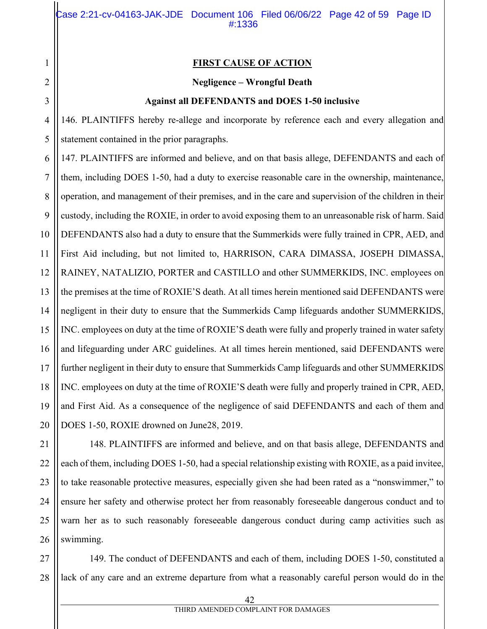#### **FIRST CAUSE OF ACTION**

#### **Negligence – Wrongful Death**

#### **Against all DEFENDANTS and DOES 1-50 inclusive**

146. PLAINTIFFS hereby re-allege and incorporate by reference each and every allegation and statement contained in the prior paragraphs.

147. PLAINTIFFS are informed and believe, and on that basis allege, DEFENDANTS and each of them, including DOES 1-50, had a duty to exercise reasonable care in the ownership, maintenance, operation, and management of their premises, and in the care and supervision of the children in their custody, including the ROXIE, in order to avoid exposing them to an unreasonable risk of harm. Said DEFENDANTS also had a duty to ensure that the Summerkids were fully trained in CPR, AED, and First Aid including, but not limited to, HARRISON, CARA DIMASSA, JOSEPH DIMASSA, RAINEY, NATALIZIO, PORTER and CASTILLO and other SUMMERKIDS, INC. employees on the premises at the time of ROXIE'S death. At all times herein mentioned said DEFENDANTS were negligent in their duty to ensure that the Summerkids Camp lifeguards andother SUMMERKIDS, INC. employees on duty at the time of ROXIE'S death were fully and properly trained in water safety and lifeguarding under ARC guidelines. At all times herein mentioned, said DEFENDANTS were further negligent in their duty to ensure that Summerkids Camp lifeguards and other SUMMERKIDS INC. employees on duty at the time of ROXIE'S death were fully and properly trained in CPR, AED, and First Aid. As a consequence of the negligence of said DEFENDANTS and each of them and DOES 1-50, ROXIE drowned on June28, 2019.

148. PLAINTIFFS are informed and believe, and on that basis allege, DEFENDANTS and each of them, including DOES 1-50, had a special relationship existing with ROXIE, as a paid invitee, to take reasonable protective measures, especially given she had been rated as a "nonswimmer," to ensure her safety and otherwise protect her from reasonably foreseeable dangerous conduct and to warn her as to such reasonably foreseeable dangerous conduct during camp activities such as swimming.

27 28 149. The conduct of DEFENDANTS and each of them, including DOES 1-50, constituted a lack of any care and an extreme departure from what a reasonably careful person would do in the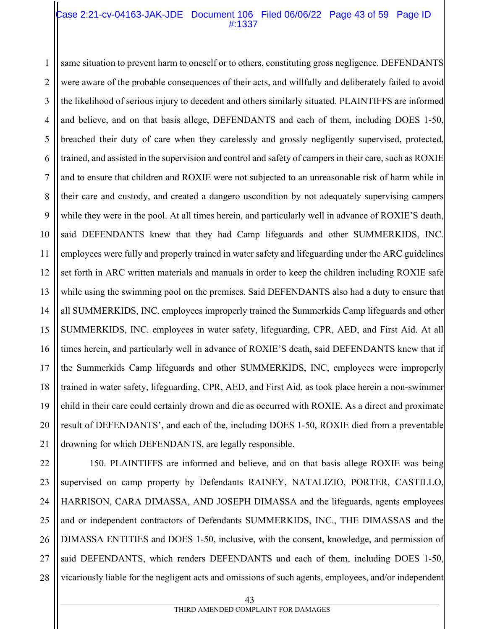#### Case 2:21-cv-04163-JAK-JDE Document 106 Filed 06/06/22 Page 43 of 59 Page ID #:1337

1 2 3 4 5 6 7 8 9 same situation to prevent harm to oneself or to others, constituting gross negligence. DEFENDANTS were aware of the probable consequences of their acts, and willfully and deliberately failed to avoid the likelihood of serious injury to decedent and others similarly situated. PLAINTIFFS are informed and believe, and on that basis allege, DEFENDANTS and each of them, including DOES 1-50, breached their duty of care when they carelessly and grossly negligently supervised, protected, trained, and assisted in the supervision and control and safety of campers in their care, such as ROXIE and to ensure that children and ROXIE were not subjected to an unreasonable risk of harm while in their care and custody, and created a dangero uscondition by not adequately supervising campers while they were in the pool. At all times herein, and particularly well in advance of ROXIE'S death, said DEFENDANTS knew that they had Camp lifeguards and other SUMMERKIDS, INC. employees were fully and properly trained in water safety and lifeguarding under the ARC guidelines set forth in ARC written materials and manuals in order to keep the children including ROXIE safe while using the swimming pool on the premises. Said DEFENDANTS also had a duty to ensure that all SUMMERKIDS, INC. employees improperly trained the Summerkids Camp lifeguards and other SUMMERKIDS, INC. employees in water safety, lifeguarding, CPR, AED, and First Aid. At all times herein, and particularly well in advance of ROXIE'S death, said DEFENDANTS knew that if the Summerkids Camp lifeguards and other SUMMERKIDS, INC, employees were improperly trained in water safety, lifeguarding, CPR, AED, and First Aid, as took place herein a non-swimmer child in their care could certainly drown and die as occurred with ROXIE. As a direct and proximate result of DEFENDANTS', and each of the, including DOES 1-50, ROXIE died from a preventable drowning for which DEFENDANTS, are legally responsible.

27 28 150. PLAINTIFFS are informed and believe, and on that basis allege ROXIE was being supervised on camp property by Defendants RAINEY, NATALIZIO, PORTER, CASTILLO, HARRISON, CARA DIMASSA, AND JOSEPH DIMASSA and the lifeguards, agents employees and or independent contractors of Defendants SUMMERKIDS, INC., THE DIMASSAS and the DIMASSA ENTITIES and DOES 1-50, inclusive, with the consent, knowledge, and permission of said DEFENDANTS, which renders DEFENDANTS and each of them, including DOES 1-50, vicariously liable for the negligent acts and omissions of such agents, employees, and/or independent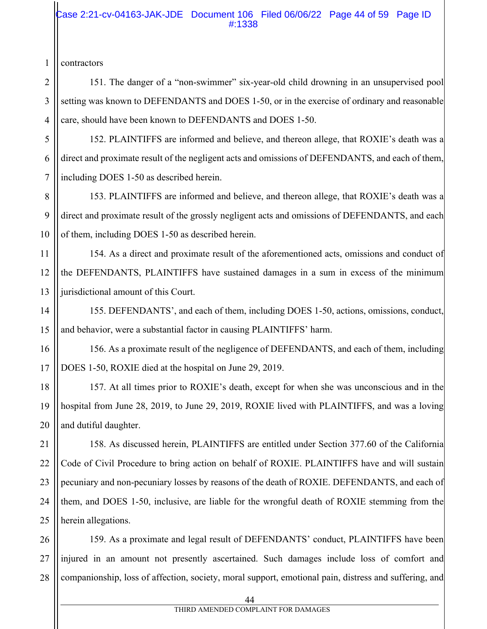#### Case 2:21-cv-04163-JAK-JDE Document 106 Filed 06/06/22 Page 44 of 59 Page ID #:1338

contractors

151. The danger of a "non-swimmer" six-year-old child drowning in an unsupervised pool setting was known to DEFENDANTS and DOES 1-50, or in the exercise of ordinary and reasonable care, should have been known to DEFENDANTS and DOES 1-50.

152. PLAINTIFFS are informed and believe, and thereon allege, that ROXIE's death was a direct and proximate result of the negligent acts and omissions of DEFENDANTS, and each of them, including DOES 1-50 as described herein.

153. PLAINTIFFS are informed and believe, and thereon allege, that ROXIE's death was a direct and proximate result of the grossly negligent acts and omissions of DEFENDANTS, and each of them, including DOES 1-50 as described herein.

154. As a direct and proximate result of the aforementioned acts, omissions and conduct of the DEFENDANTS, PLAINTIFFS have sustained damages in a sum in excess of the minimum jurisdictional amount of this Court.

155. DEFENDANTS', and each of them, including DOES 1-50, actions, omissions, conduct, and behavior, were a substantial factor in causing PLAINTIFFS' harm.

156. As a proximate result of the negligence of DEFENDANTS, and each of them, including DOES 1-50, ROXIE died at the hospital on June 29, 2019.

157. At all times prior to ROXIE's death, except for when she was unconscious and in the hospital from June 28, 2019, to June 29, 2019, ROXIE lived with PLAINTIFFS, and was a loving and dutiful daughter.

158. As discussed herein, PLAINTIFFS are entitled under Section 377.60 of the California Code of Civil Procedure to bring action on behalf of ROXIE. PLAINTIFFS have and will sustain pecuniary and non-pecuniary losses by reasons of the death of ROXIE. DEFENDANTS, and each of them, and DOES 1-50, inclusive, are liable for the wrongful death of ROXIE stemming from the herein allegations.

26 27 28 159. As a proximate and legal result of DEFENDANTS' conduct, PLAINTIFFS have been injured in an amount not presently ascertained. Such damages include loss of comfort and companionship, loss of affection, society, moral support, emotional pain, distress and suffering, and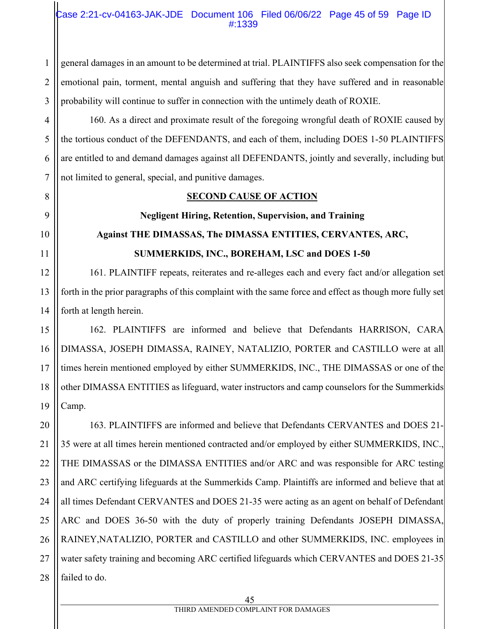#### Case 2:21-cv-04163-JAK-JDE Document 106 Filed 06/06/22 Page 45 of 59 Page ID #:1339

2 3 general damages in an amount to be determined at trial. PLAINTIFFS also seek compensation for the emotional pain, torment, mental anguish and suffering that they have suffered and in reasonable probability will continue to suffer in connection with the untimely death of ROXIE.

1

8

9

10

11

4 5 6 7 160. As a direct and proximate result of the foregoing wrongful death of ROXIE caused by the tortious conduct of the DEFENDANTS, and each of them, including DOES 1-50 PLAINTIFFS are entitled to and demand damages against all DEFENDANTS, jointly and severally, including but not limited to general, special, and punitive damages.

### **SECOND CAUSE OF ACTION**

# **Negligent Hiring, Retention, Supervision, and Training Against THE DIMASSAS, The DIMASSA ENTITIES, CERVANTES, ARC, SUMMERKIDS, INC., BOREHAM, LSC and DOES 1-50**

12 13 14 161. PLAINTIFF repeats, reiterates and re-alleges each and every fact and/or allegation set forth in the prior paragraphs of this complaint with the same force and effect as though more fully set forth at length herein.

15 16 17 18 19 162. PLAINTIFFS are informed and believe that Defendants HARRISON, CARA DIMASSA, JOSEPH DIMASSA, RAINEY, NATALIZIO, PORTER and CASTILLO were at all times herein mentioned employed by either SUMMERKIDS, INC., THE DIMASSAS or one of the other DIMASSA ENTITIES as lifeguard, water instructors and camp counselors for the Summerkids Camp.

20 21 22 23 24 25 26 27 28 163. PLAINTIFFS are informed and believe that Defendants CERVANTES and DOES 21- 35 were at all times herein mentioned contracted and/or employed by either SUMMERKIDS, INC., THE DIMASSAS or the DIMASSA ENTITIES and/or ARC and was responsible for ARC testing and ARC certifying lifeguards at the Summerkids Camp. Plaintiffs are informed and believe that at all times Defendant CERVANTES and DOES 21-35 were acting as an agent on behalf of Defendant ARC and DOES 36-50 with the duty of properly training Defendants JOSEPH DIMASSA, RAINEY,NATALIZIO, PORTER and CASTILLO and other SUMMERKIDS, INC. employees in water safety training and becoming ARC certified lifeguards which CERVANTES and DOES 21-35 failed to do.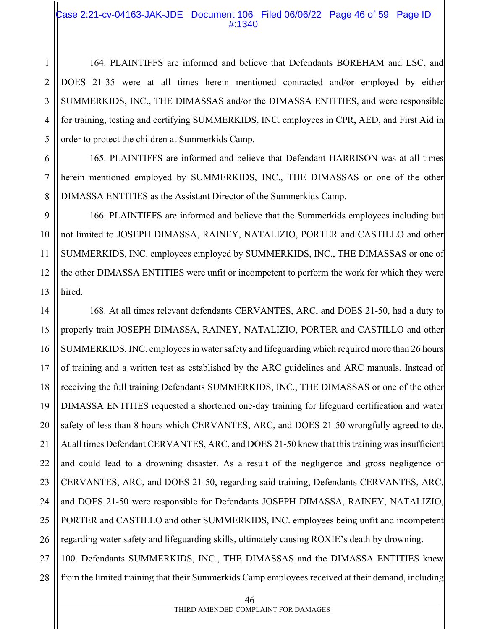#### Case 2:21-cv-04163-JAK-JDE Document 106 Filed 06/06/22 Page 46 of 59 Page ID #:1340

1

2

3

4

5

6

7

8

11

164. PLAINTIFFS are informed and believe that Defendants BOREHAM and LSC, and DOES 21-35 were at all times herein mentioned contracted and/or employed by either SUMMERKIDS, INC., THE DIMASSAS and/or the DIMASSA ENTITIES, and were responsible for training, testing and certifying SUMMERKIDS, INC. employees in CPR, AED, and First Aid in order to protect the children at Summerkids Camp.

165. PLAINTIFFS are informed and believe that Defendant HARRISON was at all times herein mentioned employed by SUMMERKIDS, INC., THE DIMASSAS or one of the other DIMASSA ENTITIES as the Assistant Director of the Summerkids Camp.

9 10 12 13 166. PLAINTIFFS are informed and believe that the Summerkids employees including but not limited to JOSEPH DIMASSA, RAINEY, NATALIZIO, PORTER and CASTILLO and other SUMMERKIDS, INC. employees employed by SUMMERKIDS, INC., THE DIMASSAS or one of the other DIMASSA ENTITIES were unfit or incompetent to perform the work for which they were hired.

14 15 16 17 18 19 20 21 22 23 24 25 26 27 168. At all times relevant defendants CERVANTES, ARC, and DOES 21-50, had a duty to properly train JOSEPH DIMASSA, RAINEY, NATALIZIO, PORTER and CASTILLO and other SUMMERKIDS, INC. employees in water safety and lifeguarding which required more than 26 hours of training and a written test as established by the ARC guidelines and ARC manuals. Instead of receiving the full training Defendants SUMMERKIDS, INC., THE DIMASSAS or one of the other DIMASSA ENTITIES requested a shortened one-day training for lifeguard certification and water safety of less than 8 hours which CERVANTES, ARC, and DOES 21-50 wrongfully agreed to do. At all times Defendant CERVANTES, ARC, and DOES 21-50 knew that this training was insufficient and could lead to a drowning disaster. As a result of the negligence and gross negligence of CERVANTES, ARC, and DOES 21-50, regarding said training, Defendants CERVANTES, ARC, and DOES 21-50 were responsible for Defendants JOSEPH DIMASSA, RAINEY, NATALIZIO, PORTER and CASTILLO and other SUMMERKIDS, INC. employees being unfit and incompetent regarding water safety and lifeguarding skills, ultimately causing ROXIE's death by drowning. 100. Defendants SUMMERKIDS, INC., THE DIMASSAS and the DIMASSA ENTITIES knew

28 from the limited training that their Summerkids Camp employees received at their demand, including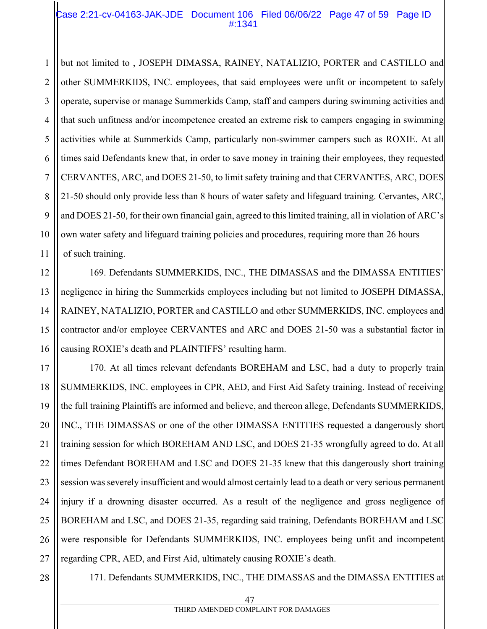#### Case 2:21-cv-04163-JAK-JDE Document 106 Filed 06/06/22 Page 47 of 59 Page ID #:1341

1 2 3 4 5 6 7 8 9 10 11 but not limited to , JOSEPH DIMASSA, RAINEY, NATALIZIO, PORTER and CASTILLO and other SUMMERKIDS, INC. employees, that said employees were unfit or incompetent to safely operate, supervise or manage Summerkids Camp, staff and campers during swimming activities and that such unfitness and/or incompetence created an extreme risk to campers engaging in swimming activities while at Summerkids Camp, particularly non-swimmer campers such as ROXIE. At all times said Defendants knew that, in order to save money in training their employees, they requested CERVANTES, ARC, and DOES 21-50, to limit safety training and that CERVANTES, ARC, DOES 21-50 should only provide less than 8 hours of water safety and lifeguard training. Cervantes, ARC, and DOES 21-50, for their own financial gain, agreed to this limited training, all in violation of ARC's own water safety and lifeguard training policies and procedures, requiring more than 26 hours of such training.

12 13 14 15 16 169. Defendants SUMMERKIDS, INC., THE DIMASSAS and the DIMASSA ENTITIES' negligence in hiring the Summerkids employees including but not limited to JOSEPH DIMASSA, RAINEY, NATALIZIO, PORTER and CASTILLO and other SUMMERKIDS, INC. employees and contractor and/or employee CERVANTES and ARC and DOES 21-50 was a substantial factor in causing ROXIE's death and PLAINTIFFS' resulting harm.

17 18 19 20 21 22 23 24 25 26 27 170. At all times relevant defendants BOREHAM and LSC, had a duty to properly train SUMMERKIDS, INC. employees in CPR, AED, and First Aid Safety training. Instead of receiving the full training Plaintiffs are informed and believe, and thereon allege, Defendants SUMMERKIDS, INC., THE DIMASSAS or one of the other DIMASSA ENTITIES requested a dangerously short training session for which BOREHAM AND LSC, and DOES 21-35 wrongfully agreed to do. At all times Defendant BOREHAM and LSC and DOES 21-35 knew that this dangerously short training session was severely insufficient and would almost certainly lead to a death or very serious permanent injury if a drowning disaster occurred. As a result of the negligence and gross negligence of BOREHAM and LSC, and DOES 21-35, regarding said training, Defendants BOREHAM and LSC were responsible for Defendants SUMMERKIDS, INC. employees being unfit and incompetent regarding CPR, AED, and First Aid, ultimately causing ROXIE's death.

28

171. Defendants SUMMERKIDS, INC., THE DIMASSAS and the DIMASSA ENTITIES at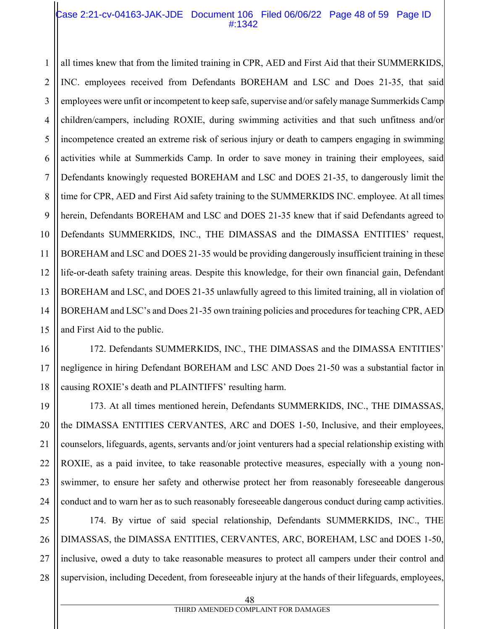#### Case 2:21-cv-04163-JAK-JDE Document 106 Filed 06/06/22 Page 48 of 59 Page ID #:1342

1 2 3 4 5 6 7 8 9 10 11 12 13 all times knew that from the limited training in CPR, AED and First Aid that their SUMMERKIDS, INC. employees received from Defendants BOREHAM and LSC and Does 21-35, that said employees were unfit or incompetent to keep safe, supervise and/or safely manage Summerkids Camp children/campers, including ROXIE, during swimming activities and that such unfitness and/or incompetence created an extreme risk of serious injury or death to campers engaging in swimming activities while at Summerkids Camp. In order to save money in training their employees, said Defendants knowingly requested BOREHAM and LSC and DOES 21-35, to dangerously limit the time for CPR, AED and First Aid safety training to the SUMMERKIDS INC. employee. At all times herein, Defendants BOREHAM and LSC and DOES 21-35 knew that if said Defendants agreed to Defendants SUMMERKIDS, INC., THE DIMASSAS and the DIMASSA ENTITIES' request, BOREHAM and LSC and DOES 21-35 would be providing dangerously insufficient training in these life-or-death safety training areas. Despite this knowledge, for their own financial gain, Defendant BOREHAM and LSC, and DOES 21-35 unlawfully agreed to this limited training, all in violation of BOREHAM and LSC's and Does 21-35 own training policies and procedures for teaching CPR, AED and First Aid to the public.

172. Defendants SUMMERKIDS, INC., THE DIMASSAS and the DIMASSA ENTITIES' negligence in hiring Defendant BOREHAM and LSC AND Does 21-50 was a substantial factor in causing ROXIE's death and PLAINTIFFS' resulting harm.

173. At all times mentioned herein, Defendants SUMMERKIDS, INC., THE DIMASSAS, the DIMASSA ENTITIES CERVANTES, ARC and DOES 1-50, Inclusive, and their employees, counselors, lifeguards, agents, servants and/or joint venturers had a special relationship existing with ROXIE, as a paid invitee, to take reasonable protective measures, especially with a young nonswimmer, to ensure her safety and otherwise protect her from reasonably foreseeable dangerous conduct and to warn her as to such reasonably foreseeable dangerous conduct during camp activities.

25 26 27 28 174. By virtue of said special relationship, Defendants SUMMERKIDS, INC., THE DIMASSAS, the DIMASSA ENTITIES, CERVANTES, ARC, BOREHAM, LSC and DOES 1-50, inclusive, owed a duty to take reasonable measures to protect all campers under their control and supervision, including Decedent, from foreseeable injury at the hands of their lifeguards, employees,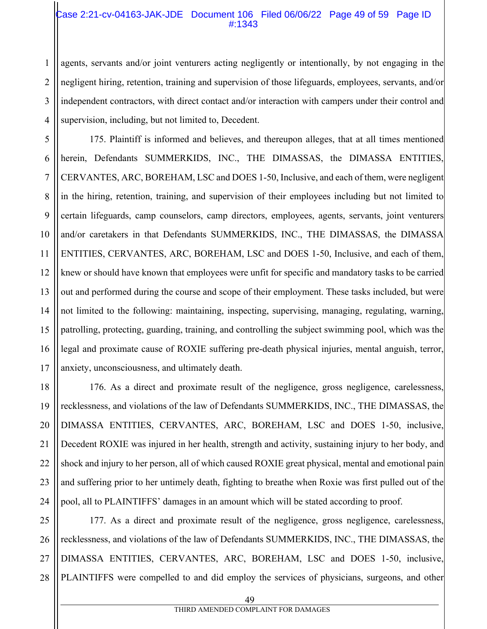#### Case 2:21-cv-04163-JAK-JDE Document 106 Filed 06/06/22 Page 49 of 59 Page ID #:1343

agents, servants and/or joint venturers acting negligently or intentionally, by not engaging in the negligent hiring, retention, training and supervision of those lifeguards, employees, servants, and/or independent contractors, with direct contact and/or interaction with campers under their control and supervision, including, but not limited to, Decedent.

175. Plaintiff is informed and believes, and thereupon alleges, that at all times mentioned herein, Defendants SUMMERKIDS, INC., THE DIMASSAS, the DIMASSA ENTITIES, CERVANTES, ARC, BOREHAM, LSC and DOES 1-50, Inclusive, and each of them, were negligent in the hiring, retention, training, and supervision of their employees including but not limited to certain lifeguards, camp counselors, camp directors, employees, agents, servants, joint venturers and/or caretakers in that Defendants SUMMERKIDS, INC., THE DIMASSAS, the DIMASSA ENTITIES, CERVANTES, ARC, BOREHAM, LSC and DOES 1-50, Inclusive, and each of them, knew or should have known that employees were unfit for specific and mandatory tasks to be carried out and performed during the course and scope of their employment. These tasks included, but were not limited to the following: maintaining, inspecting, supervising, managing, regulating, warning, patrolling, protecting, guarding, training, and controlling the subject swimming pool, which was the legal and proximate cause of ROXIE suffering pre-death physical injuries, mental anguish, terror, anxiety, unconsciousness, and ultimately death.

176. As a direct and proximate result of the negligence, gross negligence, carelessness, recklessness, and violations of the law of Defendants SUMMERKIDS, INC., THE DIMASSAS, the DIMASSA ENTITIES, CERVANTES, ARC, BOREHAM, LSC and DOES 1-50, inclusive, Decedent ROXIE was injured in her health, strength and activity, sustaining injury to her body, and shock and injury to her person, all of which caused ROXIE great physical, mental and emotional pain and suffering prior to her untimely death, fighting to breathe when Roxie was first pulled out of the pool, all to PLAINTIFFS' damages in an amount which will be stated according to proof.

28 177. As a direct and proximate result of the negligence, gross negligence, carelessness, recklessness, and violations of the law of Defendants SUMMERKIDS, INC., THE DIMASSAS, the DIMASSA ENTITIES, CERVANTES, ARC, BOREHAM, LSC and DOES 1-50, inclusive, PLAINTIFFS were compelled to and did employ the services of physicians, surgeons, and other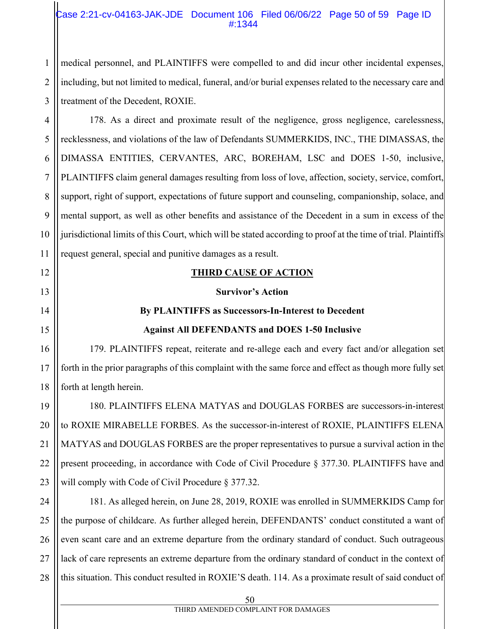#### Case 2:21-cv-04163-JAK-JDE Document 106 Filed 06/06/22 Page 50 of 59 Page ID #:1344

medical personnel, and PLAINTIFFS were compelled to and did incur other incidental expenses, including, but not limited to medical, funeral, and/or burial expenses related to the necessary care and treatment of the Decedent, ROXIE.

4 5 6 7 8 9 10 11 178. As a direct and proximate result of the negligence, gross negligence, carelessness, recklessness, and violations of the law of Defendants SUMMERKIDS, INC., THE DIMASSAS, the DIMASSA ENTITIES, CERVANTES, ARC, BOREHAM, LSC and DOES 1-50, inclusive, PLAINTIFFS claim general damages resulting from loss of love, affection, society, service, comfort, support, right of support, expectations of future support and counseling, companionship, solace, and mental support, as well as other benefits and assistance of the Decedent in a sum in excess of the jurisdictional limits of this Court, which will be stated according to proof at the time of trial. Plaintiffs request general, special and punitive damages as a result.

# 12

13

14

15

16

17

18

1

2

3

## **THIRD CAUSE OF ACTION**

#### **Survivor's Action**

# **By PLAINTIFFS as Successors-In-Interest to Decedent**

# **Against All DEFENDANTS and DOES 1-50 Inclusive**

179. PLAINTIFFS repeat, reiterate and re-allege each and every fact and/or allegation set forth in the prior paragraphs of this complaint with the same force and effect as though more fully set forth at length herein.

19 20 21 22 23 180. PLAINTIFFS ELENA MATYAS and DOUGLAS FORBES are successors-in-interest to ROXIE MIRABELLE FORBES. As the successor-in-interest of ROXIE, PLAINTIFFS ELENA MATYAS and DOUGLAS FORBES are the proper representatives to pursue a survival action in the present proceeding, in accordance with Code of Civil Procedure § 377.30. PLAINTIFFS have and will comply with Code of Civil Procedure § 377.32.

24 25 26 27 28 181. As alleged herein, on June 28, 2019, ROXIE was enrolled in SUMMERKIDS Camp for the purpose of childcare. As further alleged herein, DEFENDANTS' conduct constituted a want of even scant care and an extreme departure from the ordinary standard of conduct. Such outrageous lack of care represents an extreme departure from the ordinary standard of conduct in the context of this situation. This conduct resulted in ROXIE'S death. 114. As a proximate result of said conduct of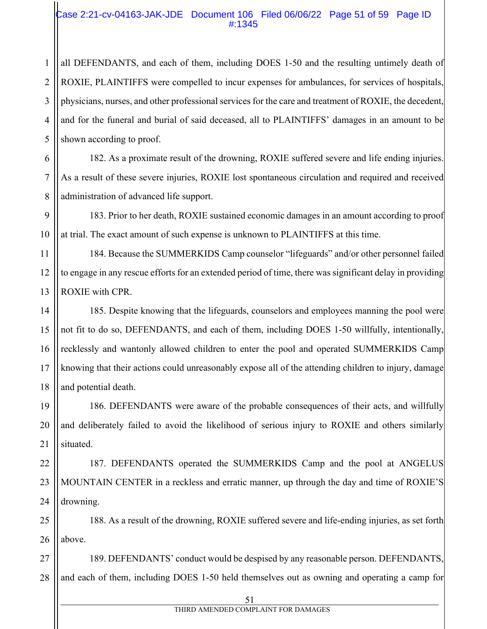#### Case 2:21-cv-04163-JAK-JDE Document 106 Filed 06/06/22 Page 51 of 59 Page ID #:1345

all DEFENDANTS, and each of them, including DOES 1-50 and the resulting untimely death of ROXIE, PLAINTIFFS were compelled to incur expenses for ambulances, for services of hospitals, physicians, nurses, and other professional services for the care and treatment of ROXIE, the decedent, and for the funeral and burial of said deceased, all to PLAINTIFFS' damages in an amount to be shown according to proof.

182. As a proximate result of the drowning, ROXIE suffered severe and life ending injuries. As a result of these severe injuries, ROXIE lost spontaneous circulation and required and received administration of advanced life support.

183. Prior to her death, ROXIE sustained economic damages in an amount according to proof at trial. The exact amount of such expense is unknown to PLAINTIFFS at this time.

184. Because the SUMMERKIDS Camp counselor "lifeguards" and/or other personnel failed to engage in any rescue efforts for an extended period of time, there was significant delay in providing ROXIE with CPR.

185. Despite knowing that the lifeguards, counselors and employees manning the pool were not fit to do so, DEFENDANTS, and each of them, including DOES 1-50 willfully, intentionally, recklessly and wantonly allowed children to enter the pool and operated SUMMERKIDS Camp knowing that their actions could unreasonably expose all of the attending children to injury, damage and potential death.

186. DEFENDANTS were aware of the probable consequences of their acts, and willfully and deliberately failed to avoid the likelihood of serious injury to ROXIE and others similarly situated.

187. DEFENDANTS operated the SUMMERKIDS Camp and the pool at ANGELUS MOUNTAIN CENTER in a reckless and erratic manner, up through the day and time of ROXIE'S drowning.

188. As a result of the drowning, ROXIE suffered severe and life-ending injuries, as set forth above.

189. DEFENDANTS' conduct would be despised by any reasonable person. DEFENDANTS, and each of them, including DOES 1-50 held themselves out as owning and operating a camp for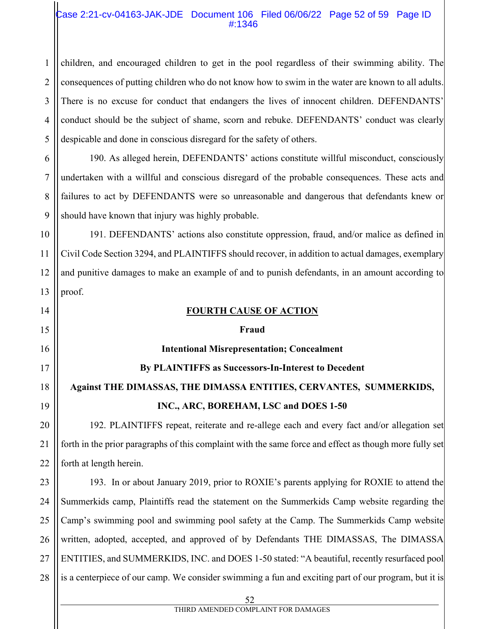#### Case 2:21-cv-04163-JAK-JDE Document 106 Filed 06/06/22 Page 52 of 59 Page ID #:1346

1 2 3 4 5 children, and encouraged children to get in the pool regardless of their swimming ability. The consequences of putting children who do not know how to swim in the water are known to all adults. There is no excuse for conduct that endangers the lives of innocent children. DEFENDANTS' conduct should be the subject of shame, scorn and rebuke. DEFENDANTS' conduct was clearly despicable and done in conscious disregard for the safety of others.

6 7 8 9 190. As alleged herein, DEFENDANTS' actions constitute willful misconduct, consciously undertaken with a willful and conscious disregard of the probable consequences. These acts and failures to act by DEFENDANTS were so unreasonable and dangerous that defendants knew or should have known that injury was highly probable.

10 11 12 13 191. DEFENDANTS' actions also constitute oppression, fraud, and/or malice as defined in Civil Code Section 3294, and PLAINTIFFS should recover, in addition to actual damages, exemplary and punitive damages to make an example of and to punish defendants, in an amount according to proof.

| 14 | <b>FOURTH CAUSE OF ACTION</b>                                                                           |
|----|---------------------------------------------------------------------------------------------------------|
| 15 | Fraud                                                                                                   |
| 16 | <b>Intentional Misrepresentation; Concealment</b>                                                       |
| 17 | By PLAINTIFFS as Successors-In-Interest to Decedent                                                     |
| 18 | Against THE DIMASSAS, THE DIMASSA ENTITIES, CERVANTES, SUMMERKIDS,                                      |
| 19 | INC., ARC, BOREHAM, LSC and DOES 1-50                                                                   |
| 20 | 192. PLAINTIFFS repeat, reiterate and re-allege each and every fact and/or allegation set               |
| 21 | forth in the prior paragraphs of this complaint with the same force and effect as though more fully set |
| 22 | forth at length herein.                                                                                 |
| 23 | 193. In or about January 2019, prior to ROXIE's parents applying for ROXIE to attend the                |
| 24 | Summerkids camp, Plaintiffs read the statement on the Summerkids Camp website regarding the             |
| 25 | Camp's swimming pool and swimming pool safety at the Camp. The Summerkids Camp website                  |
| 26 | written, adopted, accepted, and approved of by Defendants THE DIMASSAS, The DIMASSA                     |
| 27 | ENTITIES, and SUMMERKIDS, INC. and DOES 1-50 stated: "A beautiful, recently resurfaced pool             |
| 28 | is a centerpiece of our camp. We consider swimming a fun and exciting part of our program, but it is    |
|    | 52                                                                                                      |

#### THIRD AMENDED COMPLAINT FOR DAMAGES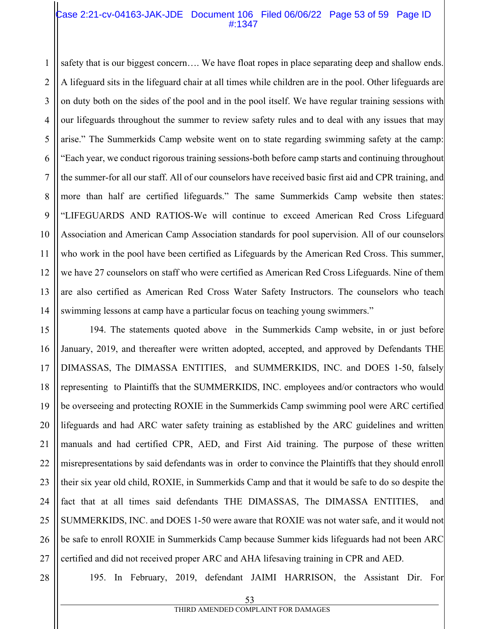#### Case 2:21-cv-04163-JAK-JDE Document 106 Filed 06/06/22 Page 53 of 59 Page ID #:1347

1 2 3 4 5 6 7 8 9 10 11 12 13 14 safety that is our biggest concern…. We have float ropes in place separating deep and shallow ends. A lifeguard sits in the lifeguard chair at all times while children are in the pool. Other lifeguards are on duty both on the sides of the pool and in the pool itself. We have regular training sessions with our lifeguards throughout the summer to review safety rules and to deal with any issues that may arise." The Summerkids Camp website went on to state regarding swimming safety at the camp: "Each year, we conduct rigorous training sessions-both before camp starts and continuing throughout the summer-for all our staff. All of our counselors have received basic first aid and CPR training, and more than half are certified lifeguards." The same Summerkids Camp website then states: "LIFEGUARDS AND RATIOS-We will continue to exceed American Red Cross Lifeguard Association and American Camp Association standards for pool supervision. All of our counselors who work in the pool have been certified as Lifeguards by the American Red Cross. This summer, we have 27 counselors on staff who were certified as American Red Cross Lifeguards. Nine of them are also certified as American Red Cross Water Safety Instructors. The counselors who teach swimming lessons at camp have a particular focus on teaching young swimmers."

15 16 17 18 19 20 21 22 23 24 25 26 27 194. The statements quoted above in the Summerkids Camp website, in or just before January, 2019, and thereafter were written adopted, accepted, and approved by Defendants THE DIMASSAS, The DIMASSA ENTITIES, and SUMMERKIDS, INC. and DOES 1-50, falsely representing to Plaintiffs that the SUMMERKIDS, INC. employees and/or contractors who would be overseeing and protecting ROXIE in the Summerkids Camp swimming pool were ARC certified lifeguards and had ARC water safety training as established by the ARC guidelines and written manuals and had certified CPR, AED, and First Aid training. The purpose of these written misrepresentations by said defendants was in order to convince the Plaintiffs that they should enroll their six year old child, ROXIE, in Summerkids Camp and that it would be safe to do so despite the fact that at all times said defendants THE DIMASSAS, The DIMASSA ENTITIES, and SUMMERKIDS, INC. and DOES 1-50 were aware that ROXIE was not water safe, and it would not be safe to enroll ROXIE in Summerkids Camp because Summer kids lifeguards had not been ARC certified and did not received proper ARC and AHA lifesaving training in CPR and AED.

28

195. In February, 2019, defendant JAIMI HARRISON, the Assistant Dir. For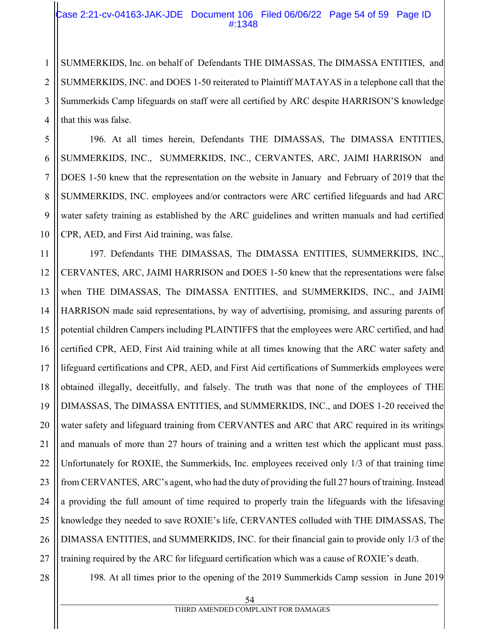#### Case 2:21-cv-04163-JAK-JDE Document 106 Filed 06/06/22 Page 54 of 59 Page ID #:1348

SUMMERKIDS, Inc. on behalf of Defendants THE DIMASSAS, The DIMASSA ENTITIES, and SUMMERKIDS, INC. and DOES 1-50 reiterated to Plaintiff MATAYAS in a telephone call that the Summerkids Camp lifeguards on staff were all certified by ARC despite HARRISON'S knowledge that this was false.

196. At all times herein, Defendants THE DIMASSAS, The DIMASSA ENTITIES, SUMMERKIDS, INC., SUMMERKIDS, INC., CERVANTES, ARC, JAIMI HARRISON and DOES 1-50 knew that the representation on the website in January and February of 2019 that the SUMMERKIDS, INC. employees and/or contractors were ARC certified lifeguards and had ARC water safety training as established by the ARC guidelines and written manuals and had certified CPR, AED, and First Aid training, was false.

11 12 13 14 15 16 17 18 19 20 21 22 23 24 25 26 27 197. Defendants THE DIMASSAS, The DIMASSA ENTITIES, SUMMERKIDS, INC., CERVANTES, ARC, JAIMI HARRISON and DOES 1-50 knew that the representations were false when THE DIMASSAS, The DIMASSA ENTITIES, and SUMMERKIDS, INC., and JAIMI HARRISON made said representations, by way of advertising, promising, and assuring parents of potential children Campers including PLAINTIFFS that the employees were ARC certified, and had certified CPR, AED, First Aid training while at all times knowing that the ARC water safety and lifeguard certifications and CPR, AED, and First Aid certifications of Summerkids employees were obtained illegally, deceitfully, and falsely. The truth was that none of the employees of THE DIMASSAS, The DIMASSA ENTITIES, and SUMMERKIDS, INC., and DOES 1-20 received the water safety and lifeguard training from CERVANTES and ARC that ARC required in its writings and manuals of more than 27 hours of training and a written test which the applicant must pass. Unfortunately for ROXIE, the Summerkids, Inc. employees received only 1/3 of that training time from CERVANTES, ARC's agent, who had the duty of providing the full 27 hours of training. Instead a providing the full amount of time required to properly train the lifeguards with the lifesaving knowledge they needed to save ROXIE's life, CERVANTES colluded with THE DIMASSAS, The DIMASSA ENTITIES, and SUMMERKIDS, INC. for their financial gain to provide only 1/3 of the training required by the ARC for lifeguard certification which was a cause of ROXIE's death.

1

2

3

4

5

6

7

8

9

10

198. At all times prior to the opening of the 2019 Summerkids Camp session in June 2019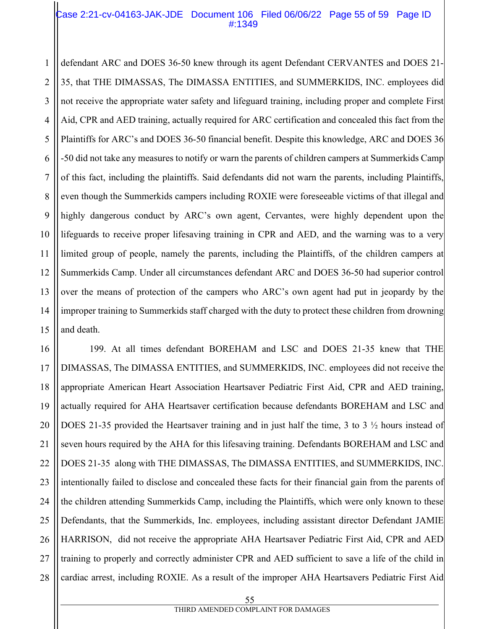#### Case 2:21-cv-04163-JAK-JDE Document 106 Filed 06/06/22 Page 55 of 59 Page ID #:1349

1 2 3 4 5 6 7 8 9 10 11 12 13 14 15 defendant ARC and DOES 36-50 knew through its agent Defendant CERVANTES and DOES 21- 35, that THE DIMASSAS, The DIMASSA ENTITIES, and SUMMERKIDS, INC. employees did not receive the appropriate water safety and lifeguard training, including proper and complete First Aid, CPR and AED training, actually required for ARC certification and concealed this fact from the Plaintiffs for ARC's and DOES 36-50 financial benefit. Despite this knowledge, ARC and DOES 36 -50 did not take any measures to notify or warn the parents of children campers at Summerkids Camp of this fact, including the plaintiffs. Said defendants did not warn the parents, including Plaintiffs, even though the Summerkids campers including ROXIE were foreseeable victims of that illegal and highly dangerous conduct by ARC's own agent, Cervantes, were highly dependent upon the lifeguards to receive proper lifesaving training in CPR and AED, and the warning was to a very limited group of people, namely the parents, including the Plaintiffs, of the children campers at Summerkids Camp. Under all circumstances defendant ARC and DOES 36-50 had superior control over the means of protection of the campers who ARC's own agent had put in jeopardy by the improper training to Summerkids staff charged with the duty to protect these children from drowning and death.

16 17 18 19 20 21 22 23 24 25 26 27 28 199. At all times defendant BOREHAM and LSC and DOES 21-35 knew that THE DIMASSAS, The DIMASSA ENTITIES, and SUMMERKIDS, INC. employees did not receive the appropriate American Heart Association Heartsaver Pediatric First Aid, CPR and AED training, actually required for AHA Heartsaver certification because defendants BOREHAM and LSC and DOES 21-35 provided the Heartsaver training and in just half the time, 3 to 3 ½ hours instead of seven hours required by the AHA for this lifesaving training. Defendants BOREHAM and LSC and DOES 21-35 along with THE DIMASSAS, The DIMASSA ENTITIES, and SUMMERKIDS, INC. intentionally failed to disclose and concealed these facts for their financial gain from the parents of the children attending Summerkids Camp, including the Plaintiffs, which were only known to these Defendants, that the Summerkids, Inc. employees, including assistant director Defendant JAMIE HARRISON, did not receive the appropriate AHA Heartsaver Pediatric First Aid, CPR and AED training to properly and correctly administer CPR and AED sufficient to save a life of the child in cardiac arrest, including ROXIE. As a result of the improper AHA Heartsavers Pediatric First Aid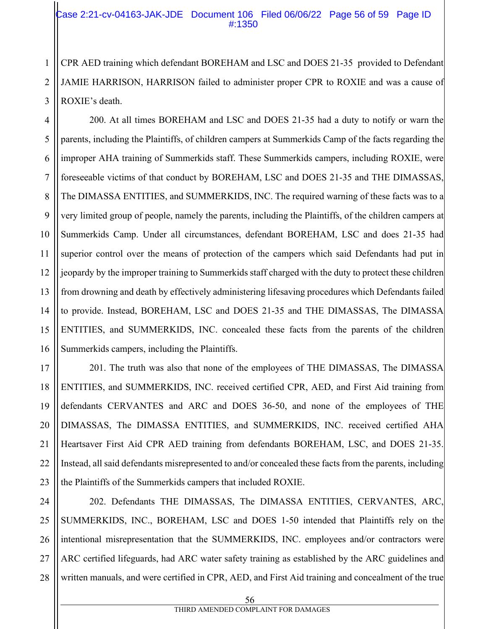#### Case 2:21-cv-04163-JAK-JDE Document 106 Filed 06/06/22 Page 56 of 59 Page ID #:1350

CPR AED training which defendant BOREHAM and LSC and DOES 21-35 provided to Defendant JAMIE HARRISON, HARRISON failed to administer proper CPR to ROXIE and was a cause of ROXIE's death.

200. At all times BOREHAM and LSC and DOES 21-35 had a duty to notify or warn the parents, including the Plaintiffs, of children campers at Summerkids Camp of the facts regarding the improper AHA training of Summerkids staff. These Summerkids campers, including ROXIE, were foreseeable victims of that conduct by BOREHAM, LSC and DOES 21-35 and THE DIMASSAS, The DIMASSA ENTITIES, and SUMMERKIDS, INC. The required warning of these facts was to a very limited group of people, namely the parents, including the Plaintiffs, of the children campers at Summerkids Camp. Under all circumstances, defendant BOREHAM, LSC and does 21-35 had superior control over the means of protection of the campers which said Defendants had put in jeopardy by the improper training to Summerkids staff charged with the duty to protect these children from drowning and death by effectively administering lifesaving procedures which Defendants failed to provide. Instead, BOREHAM, LSC and DOES 21-35 and THE DIMASSAS, The DIMASSA ENTITIES, and SUMMERKIDS, INC. concealed these facts from the parents of the children Summerkids campers, including the Plaintiffs.

201. The truth was also that none of the employees of THE DIMASSAS, The DIMASSA ENTITIES, and SUMMERKIDS, INC. received certified CPR, AED, and First Aid training from defendants CERVANTES and ARC and DOES 36-50, and none of the employees of THE DIMASSAS, The DIMASSA ENTITIES, and SUMMERKIDS, INC. received certified AHA Heartsaver First Aid CPR AED training from defendants BOREHAM, LSC, and DOES 21-35. Instead, all said defendants misrepresented to and/or concealed these facts from the parents, including the Plaintiffs of the Summerkids campers that included ROXIE.

202. Defendants THE DIMASSAS, The DIMASSA ENTITIES, CERVANTES, ARC, SUMMERKIDS, INC., BOREHAM, LSC and DOES 1-50 intended that Plaintiffs rely on the intentional misrepresentation that the SUMMERKIDS, INC. employees and/or contractors were ARC certified lifeguards, had ARC water safety training as established by the ARC guidelines and written manuals, and were certified in CPR, AED, and First Aid training and concealment of the true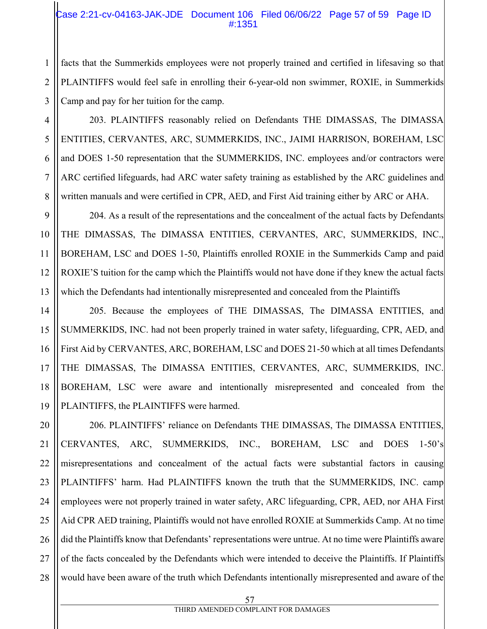#### Case 2:21-cv-04163-JAK-JDE Document 106 Filed 06/06/22 Page 57 of 59 Page ID #:1351

facts that the Summerkids employees were not properly trained and certified in lifesaving so that PLAINTIFFS would feel safe in enrolling their 6-year-old non swimmer, ROXIE, in Summerkids Camp and pay for her tuition for the camp.

203. PLAINTIFFS reasonably relied on Defendants THE DIMASSAS, The DIMASSA ENTITIES, CERVANTES, ARC, SUMMERKIDS, INC., JAIMI HARRISON, BOREHAM, LSC and DOES 1-50 representation that the SUMMERKIDS, INC. employees and/or contractors were ARC certified lifeguards, had ARC water safety training as established by the ARC guidelines and written manuals and were certified in CPR, AED, and First Aid training either by ARC or AHA.

204. As a result of the representations and the concealment of the actual facts by Defendants THE DIMASSAS, The DIMASSA ENTITIES, CERVANTES, ARC, SUMMERKIDS, INC., BOREHAM, LSC and DOES 1-50, Plaintiffs enrolled ROXIE in the Summerkids Camp and paid ROXIE'S tuition for the camp which the Plaintiffs would not have done if they knew the actual facts which the Defendants had intentionally misrepresented and concealed from the Plaintiffs

 205. Because the employees of THE DIMASSAS, The DIMASSA ENTITIES, and SUMMERKIDS, INC. had not been properly trained in water safety, lifeguarding, CPR, AED, and First Aid by CERVANTES, ARC, BOREHAM, LSC and DOES 21-50 which at all times Defendants THE DIMASSAS, The DIMASSA ENTITIES, CERVANTES, ARC, SUMMERKIDS, INC. BOREHAM, LSC were aware and intentionally misrepresented and concealed from the PLAINTIFFS, the PLAINTIFFS were harmed.

206. PLAINTIFFS' reliance on Defendants THE DIMASSAS, The DIMASSA ENTITIES, CERVANTES, ARC, SUMMERKIDS, INC., BOREHAM, LSC and DOES 1-50's misrepresentations and concealment of the actual facts were substantial factors in causing PLAINTIFFS' harm. Had PLAINTIFFS known the truth that the SUMMERKIDS, INC. camp employees were not properly trained in water safety, ARC lifeguarding, CPR, AED, nor AHA First Aid CPR AED training, Plaintiffs would not have enrolled ROXIE at Summerkids Camp. At no time did the Plaintiffs know that Defendants' representations were untrue. At no time were Plaintiffs aware of the facts concealed by the Defendants which were intended to deceive the Plaintiffs. If Plaintiffs would have been aware of the truth which Defendants intentionally misrepresented and aware of the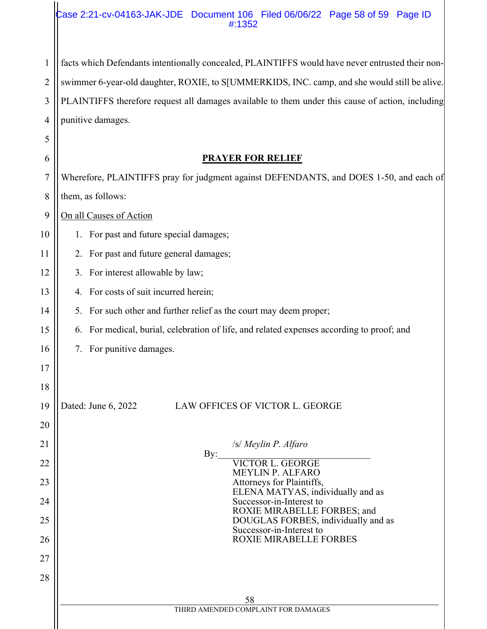#### Case 2:21-cv-04163-JAK-JDE Document 106 Filed 06/06/22 Page 58 of 59 Page ID #:1352

4 facts which Defendants intentionally concealed, PLAINTIFFS would have never entrusted their nonswimmer 6-year-old daughter, ROXIE, to S[UMMERKIDS, INC. camp, and she would still be alive. PLAINTIFFS therefore request all damages available to them under this cause of action, including punitive damages.

1

2

3

| 6  | <b>PRAYER FOR RELIEF</b>                                                                  |  |  |
|----|-------------------------------------------------------------------------------------------|--|--|
| 7  | Wherefore, PLAINTIFFS pray for judgment against DEFENDANTS, and DOES 1-50, and each of    |  |  |
| 8  | them, as follows:                                                                         |  |  |
| 9  | On all Causes of Action                                                                   |  |  |
| 10 | 1. For past and future special damages;                                                   |  |  |
| 11 | 2. For past and future general damages;                                                   |  |  |
| 12 | 3. For interest allowable by law;                                                         |  |  |
| 13 | 4. For costs of suit incurred herein;                                                     |  |  |
| 14 | 5. For such other and further relief as the court may deem proper;                        |  |  |
| 15 | 6. For medical, burial, celebration of life, and related expenses according to proof; and |  |  |
| 16 | 7. For punitive damages.                                                                  |  |  |
| 17 |                                                                                           |  |  |
| 18 |                                                                                           |  |  |
| 19 | Dated: June 6, 2022<br>LAW OFFICES OF VICTOR L. GEORGE                                    |  |  |
| 20 |                                                                                           |  |  |
| 21 | /s/ Meylin P. Alfaro<br>By:                                                               |  |  |
| 22 | <b>VICTOR L. GEORGE</b><br>MEYLIN P. ALFARO                                               |  |  |
| 23 | Attorneys for Plaintiffs,<br>ELENA MATYAS, individually and as                            |  |  |
| 24 | Successor-in-Interest to<br>ROXIE MIRABELLE FORBES; and                                   |  |  |
| 25 | DOUGLAS FORBES, individually and as<br>Successor-in-Interest to                           |  |  |
| 26 | <b>ROXIE MIRABELLE FORBES</b>                                                             |  |  |
| 27 |                                                                                           |  |  |
| 28 |                                                                                           |  |  |
|    | 58<br>THIRD AMENDED COMPLAINT FOR DAMAGES                                                 |  |  |